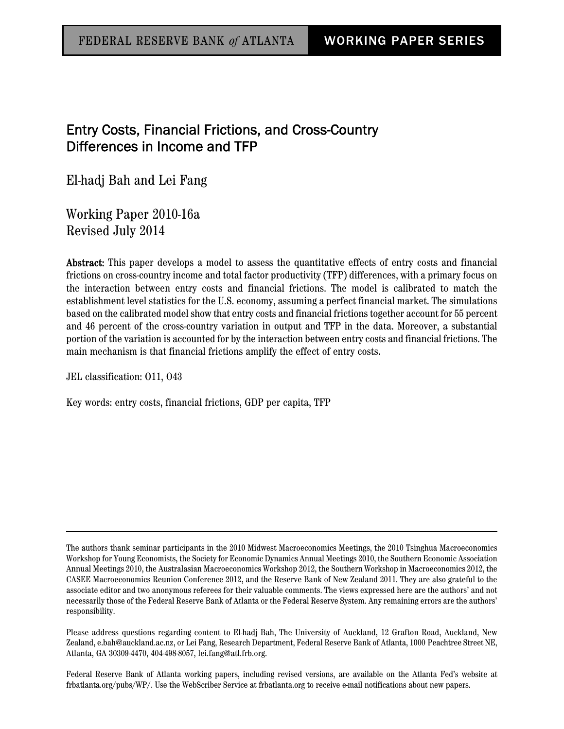## Entry Costs, Financial Frictions, and Cross-Country Differences in Income and TFP

El-hadj Bah and Lei Fang

Working Paper 2010-16a Revised July 2014

Abstract: This paper develops a model to assess the quantitative effects of entry costs and financial frictions on cross-country income and total factor productivity (TFP) differences, with a primary focus on the interaction between entry costs and financial frictions. The model is calibrated to match the establishment level statistics for the U.S. economy, assuming a perfect financial market. The simulations based on the calibrated model show that entry costs and financial frictions together account for 55 percent and 46 percent of the cross-country variation in output and TFP in the data. Moreover, a substantial portion of the variation is accounted for by the interaction between entry costs and financial frictions. The main mechanism is that financial frictions amplify the effect of entry costs.

JEL classification: O11, O43

Key words: entry costs, financial frictions, GDP per capita, TFP

Please address questions regarding content to El-hadj Bah, The University of Auckland, 12 Grafton Road, Auckland, New Zealand, e.bah@auckland.ac.nz, or Lei Fang, Research Department, Federal Reserve Bank of Atlanta, 1000 Peachtree Street NE, Atlanta, GA 30309-4470, 404-498-8057, lei.fang@atl.frb.org.

Federal Reserve Bank of Atlanta working papers, including revised versions, are available on the Atlanta Fed's website at frbatlanta.org/pubs/WP/. Use the WebScriber Service at frbatlanta.org to receive e-mail notifications about new papers.

The authors thank seminar participants in the 2010 Midwest Macroeconomics Meetings, the 2010 Tsinghua Macroeconomics Workshop for Young Economists, the Society for Economic Dynamics Annual Meetings 2010, the Southern Economic Association Annual Meetings 2010, the Australasian Macroeconomics Workshop 2012, the Southern Workshop in Macroeconomics 2012, the CASEE Macroeconomics Reunion Conference 2012, and the Reserve Bank of New Zealand 2011. They are also grateful to the associate editor and two anonymous referees for their valuable comments. The views expressed here are the authors' and not necessarily those of the Federal Reserve Bank of Atlanta or the Federal Reserve System. Any remaining errors are the authors' responsibility.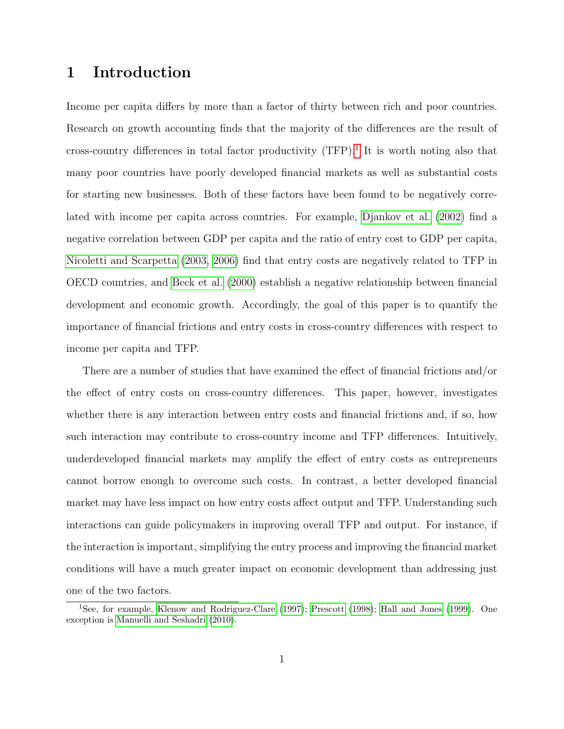## 1 Introduction

Income per capita differs by more than a factor of thirty between rich and poor countries. Research on growth accounting finds that the majority of the differences are the result of cross-country differences in total factor productivity  $(TFP)<sup>1</sup>$  $(TFP)<sup>1</sup>$  $(TFP)<sup>1</sup>$  It is worth noting also that many poor countries have poorly developed financial markets as well as substantial costs for starting new businesses. Both of these factors have been found to be negatively correlated with income per capita across countries. For example, [Djankov et al.](#page-28-0) [\(2002\)](#page-28-0) find a negative correlation between GDP per capita and the ratio of entry cost to GDP per capita, [Nicoletti and Scarpetta](#page-29-0) [\(2003,](#page-29-0) [2006\)](#page-29-1) find that entry costs are negatively related to TFP in OECD countries, and [Beck et al.](#page-27-0) [\(2000\)](#page-27-0) establish a negative relationship between financial development and economic growth. Accordingly, the goal of this paper is to quantify the importance of financial frictions and entry costs in cross-country differences with respect to income per capita and TFP.

There are a number of studies that have examined the effect of financial frictions and/or the effect of entry costs on cross-country differences. This paper, however, investigates whether there is any interaction between entry costs and financial frictions and, if so, how such interaction may contribute to cross-country income and TFP differences. Intuitively, underdeveloped financial markets may amplify the effect of entry costs as entrepreneurs cannot borrow enough to overcome such costs. In contrast, a better developed financial market may have less impact on how entry costs affect output and TFP. Understanding such interactions can guide policymakers in improving overall TFP and output. For instance, if the interaction is important, simplifying the entry process and improving the financial market conditions will have a much greater impact on economic development than addressing just one of the two factors.

<span id="page-1-0"></span><sup>1</sup>See, for example, [Klenow and Rodriguez-Clare](#page-29-2) [\(1997\)](#page-29-2); [Prescott](#page-29-3) [\(1998\)](#page-29-3); [Hall and Jones](#page-28-1) [\(1999\)](#page-28-1). One exception is [Manuelli and Seshadri](#page-29-4) [\(2010\)](#page-29-4).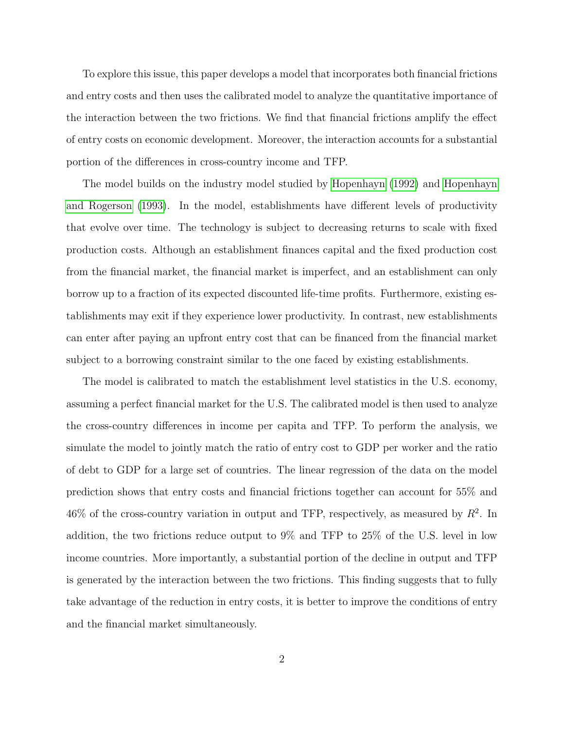To explore this issue, this paper develops a model that incorporates both financial frictions and entry costs and then uses the calibrated model to analyze the quantitative importance of the interaction between the two frictions. We find that financial frictions amplify the effect of entry costs on economic development. Moreover, the interaction accounts for a substantial portion of the differences in cross-country income and TFP.

The model builds on the industry model studied by [Hopenhayn](#page-28-2) [\(1992\)](#page-28-2) and [Hopenhayn](#page-28-3) [and Rogerson](#page-28-3) [\(1993\)](#page-28-3). In the model, establishments have different levels of productivity that evolve over time. The technology is subject to decreasing returns to scale with fixed production costs. Although an establishment finances capital and the fixed production cost from the financial market, the financial market is imperfect, and an establishment can only borrow up to a fraction of its expected discounted life-time profits. Furthermore, existing establishments may exit if they experience lower productivity. In contrast, new establishments can enter after paying an upfront entry cost that can be financed from the financial market subject to a borrowing constraint similar to the one faced by existing establishments.

The model is calibrated to match the establishment level statistics in the U.S. economy, assuming a perfect financial market for the U.S. The calibrated model is then used to analyze the cross-country differences in income per capita and TFP. To perform the analysis, we simulate the model to jointly match the ratio of entry cost to GDP per worker and the ratio of debt to GDP for a large set of countries. The linear regression of the data on the model prediction shows that entry costs and financial frictions together can account for 55% and 46% of the cross-country variation in output and TFP, respectively, as measured by  $R^2$ . In addition, the two frictions reduce output to 9% and TFP to 25% of the U.S. level in low income countries. More importantly, a substantial portion of the decline in output and TFP is generated by the interaction between the two frictions. This finding suggests that to fully take advantage of the reduction in entry costs, it is better to improve the conditions of entry and the financial market simultaneously.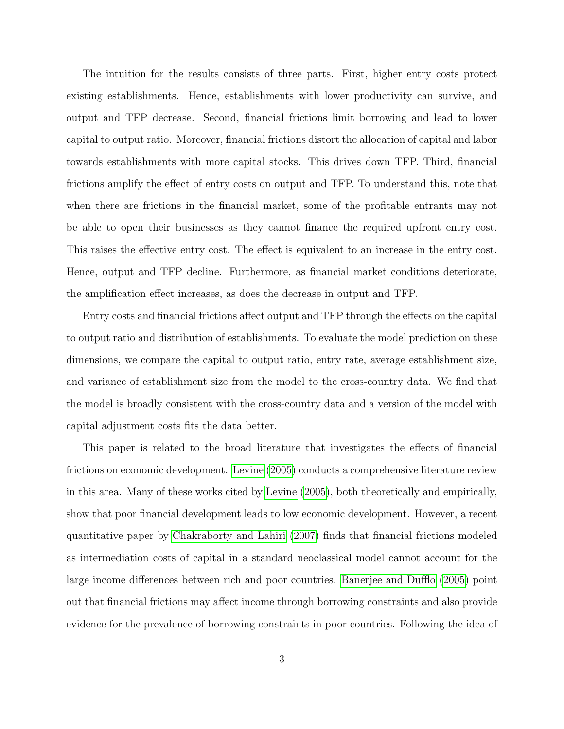The intuition for the results consists of three parts. First, higher entry costs protect existing establishments. Hence, establishments with lower productivity can survive, and output and TFP decrease. Second, financial frictions limit borrowing and lead to lower capital to output ratio. Moreover, financial frictions distort the allocation of capital and labor towards establishments with more capital stocks. This drives down TFP. Third, financial frictions amplify the effect of entry costs on output and TFP. To understand this, note that when there are frictions in the financial market, some of the profitable entrants may not be able to open their businesses as they cannot finance the required upfront entry cost. This raises the effective entry cost. The effect is equivalent to an increase in the entry cost. Hence, output and TFP decline. Furthermore, as financial market conditions deteriorate, the amplification effect increases, as does the decrease in output and TFP.

Entry costs and financial frictions affect output and TFP through the effects on the capital to output ratio and distribution of establishments. To evaluate the model prediction on these dimensions, we compare the capital to output ratio, entry rate, average establishment size, and variance of establishment size from the model to the cross-country data. We find that the model is broadly consistent with the cross-country data and a version of the model with capital adjustment costs fits the data better.

This paper is related to the broad literature that investigates the effects of financial frictions on economic development. [Levine](#page-29-5) [\(2005\)](#page-29-5) conducts a comprehensive literature review in this area. Many of these works cited by [Levine](#page-29-5) [\(2005\)](#page-29-5), both theoretically and empirically, show that poor financial development leads to low economic development. However, a recent quantitative paper by [Chakraborty and Lahiri](#page-27-1) [\(2007\)](#page-27-1) finds that financial frictions modeled as intermediation costs of capital in a standard neoclassical model cannot account for the large income differences between rich and poor countries. [Banerjee and Dufflo](#page-27-2) [\(2005\)](#page-27-2) point out that financial frictions may affect income through borrowing constraints and also provide evidence for the prevalence of borrowing constraints in poor countries. Following the idea of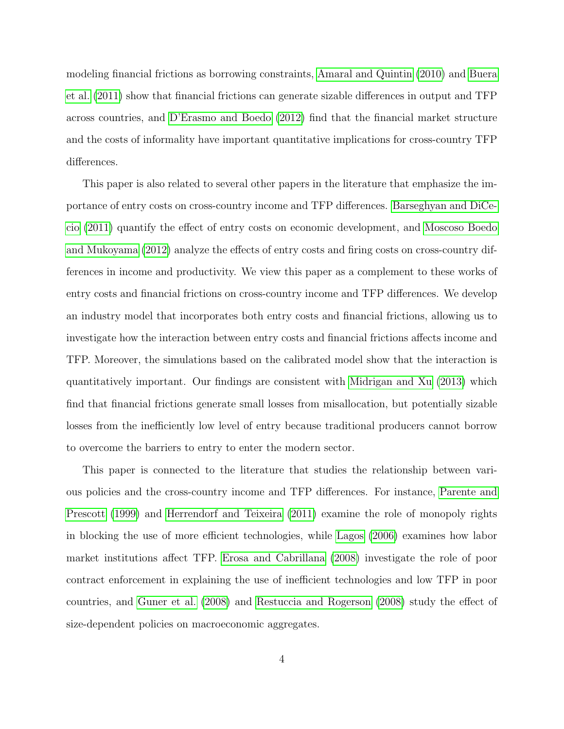modeling financial frictions as borrowing constraints, [Amaral and Quintin](#page-27-3) [\(2010\)](#page-27-3) and [Buera](#page-27-4) [et al.](#page-27-4) [\(2011\)](#page-27-4) show that financial frictions can generate sizable differences in output and TFP across countries, and [D'Erasmo and Boedo](#page-28-4) [\(2012\)](#page-28-4) find that the financial market structure and the costs of informality have important quantitative implications for cross-country TFP differences.

This paper is also related to several other papers in the literature that emphasize the importance of entry costs on cross-country income and TFP differences. [Barseghyan and DiCe](#page-27-5)[cio](#page-27-5) [\(2011\)](#page-27-5) quantify the effect of entry costs on economic development, and [Moscoso Boedo](#page-29-6) [and Mukoyama](#page-29-6) [\(2012\)](#page-29-6) analyze the effects of entry costs and firing costs on cross-country differences in income and productivity. We view this paper as a complement to these works of entry costs and financial frictions on cross-country income and TFP differences. We develop an industry model that incorporates both entry costs and financial frictions, allowing us to investigate how the interaction between entry costs and financial frictions affects income and TFP. Moreover, the simulations based on the calibrated model show that the interaction is quantitatively important. Our findings are consistent with [Midrigan and Xu](#page-29-7) [\(2013\)](#page-29-7) which find that financial frictions generate small losses from misallocation, but potentially sizable losses from the inefficiently low level of entry because traditional producers cannot borrow to overcome the barriers to entry to enter the modern sector.

This paper is connected to the literature that studies the relationship between various policies and the cross-country income and TFP differences. For instance, [Parente and](#page-29-8) [Prescott](#page-29-8) [\(1999\)](#page-29-8) and [Herrendorf and Teixeira](#page-28-5) [\(2011\)](#page-28-5) examine the role of monopoly rights in blocking the use of more efficient technologies, while [Lagos](#page-29-9) [\(2006\)](#page-29-9) examines how labor market institutions affect TFP. [Erosa and Cabrillana](#page-28-6) [\(2008\)](#page-28-6) investigate the role of poor contract enforcement in explaining the use of inefficient technologies and low TFP in poor countries, and [Guner et al.](#page-28-7) [\(2008\)](#page-28-7) and [Restuccia and Rogerson](#page-29-10) [\(2008\)](#page-29-10) study the effect of size-dependent policies on macroeconomic aggregates.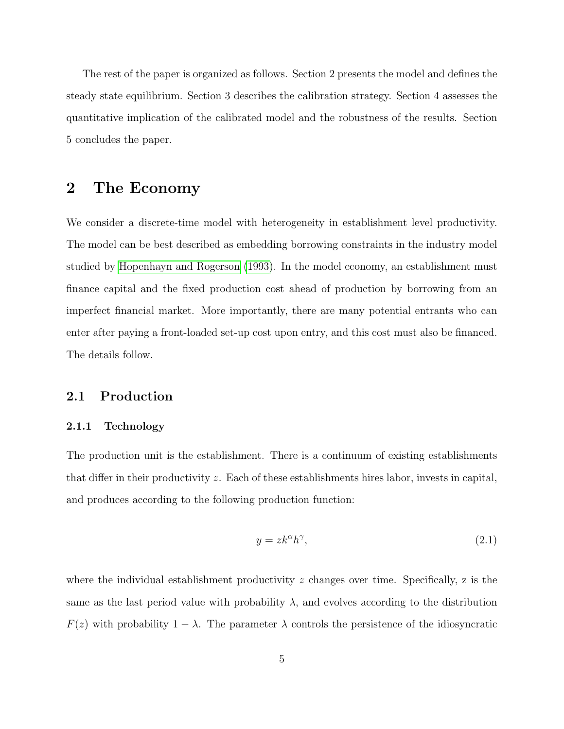The rest of the paper is organized as follows. Section 2 presents the model and defines the steady state equilibrium. Section 3 describes the calibration strategy. Section 4 assesses the quantitative implication of the calibrated model and the robustness of the results. Section 5 concludes the paper.

## 2 The Economy

We consider a discrete-time model with heterogeneity in establishment level productivity. The model can be best described as embedding borrowing constraints in the industry model studied by [Hopenhayn and Rogerson](#page-28-3) [\(1993\)](#page-28-3). In the model economy, an establishment must finance capital and the fixed production cost ahead of production by borrowing from an imperfect financial market. More importantly, there are many potential entrants who can enter after paying a front-loaded set-up cost upon entry, and this cost must also be financed. The details follow.

### 2.1 Production

### 2.1.1 Technology

The production unit is the establishment. There is a continuum of existing establishments that differ in their productivity z. Each of these establishments hires labor, invests in capital, and produces according to the following production function:

$$
y = zk^{\alpha}h^{\gamma},\tag{2.1}
$$

where the individual establishment productivity  $z$  changes over time. Specifically,  $z$  is the same as the last period value with probability  $\lambda$ , and evolves according to the distribution  $F(z)$  with probability  $1 - \lambda$ . The parameter  $\lambda$  controls the persistence of the idiosyncratic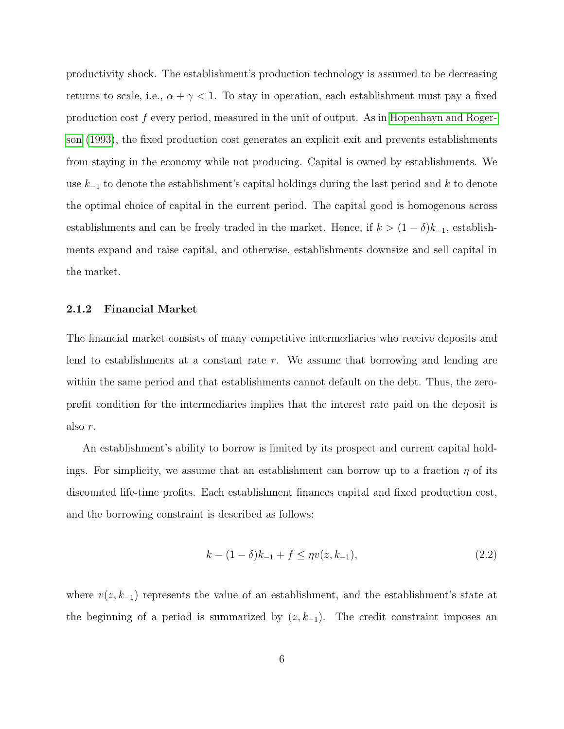productivity shock. The establishment's production technology is assumed to be decreasing returns to scale, i.e.,  $\alpha + \gamma < 1$ . To stay in operation, each establishment must pay a fixed production cost f every period, measured in the unit of output. As in [Hopenhayn and Roger](#page-28-3)[son](#page-28-3) [\(1993\)](#page-28-3), the fixed production cost generates an explicit exit and prevents establishments from staying in the economy while not producing. Capital is owned by establishments. We use  $k_{-1}$  to denote the establishment's capital holdings during the last period and k to denote the optimal choice of capital in the current period. The capital good is homogenous across establishments and can be freely traded in the market. Hence, if  $k > (1 - \delta)k_{-1}$ , establishments expand and raise capital, and otherwise, establishments downsize and sell capital in the market.

#### 2.1.2 Financial Market

The financial market consists of many competitive intermediaries who receive deposits and lend to establishments at a constant rate r. We assume that borrowing and lending are within the same period and that establishments cannot default on the debt. Thus, the zeroprofit condition for the intermediaries implies that the interest rate paid on the deposit is also r.

An establishment's ability to borrow is limited by its prospect and current capital holdings. For simplicity, we assume that an establishment can borrow up to a fraction  $\eta$  of its discounted life-time profits. Each establishment finances capital and fixed production cost, and the borrowing constraint is described as follows:

<span id="page-6-0"></span>
$$
k - (1 - \delta)k_{-1} + f \le \eta v(z, k_{-1}),\tag{2.2}
$$

where  $v(z, k_{-1})$  represents the value of an establishment, and the establishment's state at the beginning of a period is summarized by  $(z, k_{-1})$ . The credit constraint imposes an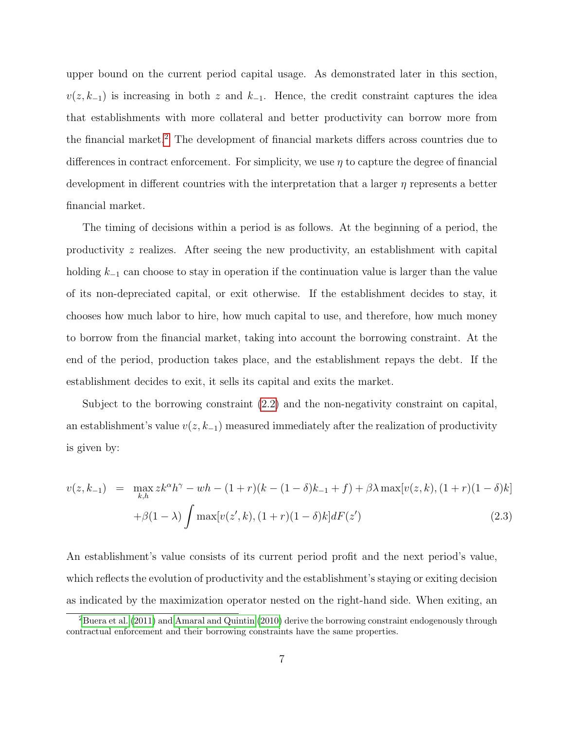upper bound on the current period capital usage. As demonstrated later in this section,  $v(z, k_{-1})$  is increasing in both z and  $k_{-1}$ . Hence, the credit constraint captures the idea that establishments with more collateral and better productivity can borrow more from the financial market.<sup>[2](#page-7-0)</sup> The development of financial markets differs across countries due to differences in contract enforcement. For simplicity, we use  $\eta$  to capture the degree of financial development in different countries with the interpretation that a larger  $\eta$  represents a better financial market.

The timing of decisions within a period is as follows. At the beginning of a period, the productivity z realizes. After seeing the new productivity, an establishment with capital holding  $k_{-1}$  can choose to stay in operation if the continuation value is larger than the value of its non-depreciated capital, or exit otherwise. If the establishment decides to stay, it chooses how much labor to hire, how much capital to use, and therefore, how much money to borrow from the financial market, taking into account the borrowing constraint. At the end of the period, production takes place, and the establishment repays the debt. If the establishment decides to exit, it sells its capital and exits the market.

Subject to the borrowing constraint [\(2.2\)](#page-6-0) and the non-negativity constraint on capital, an establishment's value  $v(z, k_{-1})$  measured immediately after the realization of productivity is given by:

<span id="page-7-1"></span>
$$
v(z, k_{-1}) = \max_{k, h} z k^{\alpha} h^{\gamma} - wh - (1 + r)(k - (1 - \delta)k_{-1} + f) + \beta \lambda \max[v(z, k), (1 + r)(1 - \delta)k]
$$

$$
+ \beta (1 - \lambda) \int \max[v(z', k), (1 + r)(1 - \delta)k] dF(z')
$$
(2.3)

An establishment's value consists of its current period profit and the next period's value, which reflects the evolution of productivity and the establishment's staying or exiting decision as indicated by the maximization operator nested on the right-hand side. When exiting, an

<span id="page-7-0"></span><sup>&</sup>lt;sup>2</sup>[Buera et al.](#page-27-4) [\(2011\)](#page-27-4) and [Amaral and Quintin](#page-27-3) [\(2010\)](#page-27-3) derive the borrowing constraint endogenously through contractual enforcement and their borrowing constraints have the same properties.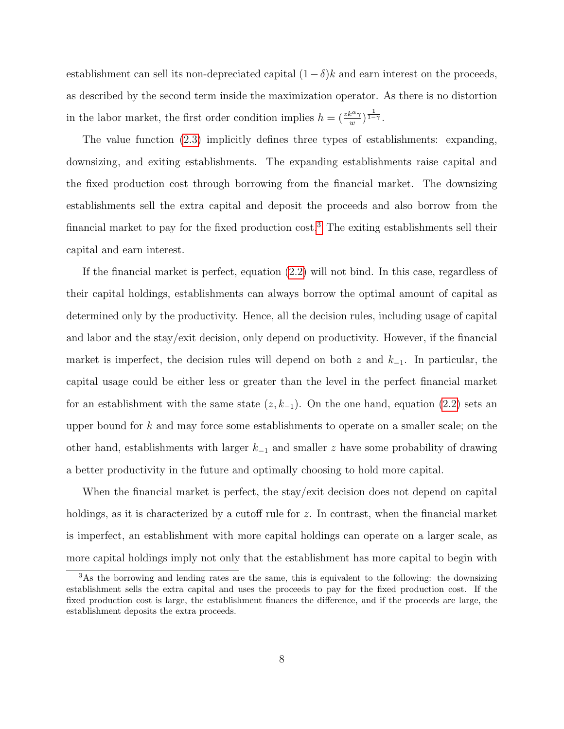establishment can sell its non-depreciated capital  $(1 - \delta)k$  and earn interest on the proceeds, as described by the second term inside the maximization operator. As there is no distortion in the labor market, the first order condition implies  $h = \left(\frac{zk^{\alpha}\gamma}{w}\right)^{\frac{1}{1-\gamma}}$ .

The value function [\(2.3\)](#page-7-1) implicitly defines three types of establishments: expanding, downsizing, and exiting establishments. The expanding establishments raise capital and the fixed production cost through borrowing from the financial market. The downsizing establishments sell the extra capital and deposit the proceeds and also borrow from the financial market to pay for the fixed production cost.[3](#page-8-0) The exiting establishments sell their capital and earn interest.

If the financial market is perfect, equation [\(2.2\)](#page-6-0) will not bind. In this case, regardless of their capital holdings, establishments can always borrow the optimal amount of capital as determined only by the productivity. Hence, all the decision rules, including usage of capital and labor and the stay/exit decision, only depend on productivity. However, if the financial market is imperfect, the decision rules will depend on both z and  $k_{-1}$ . In particular, the capital usage could be either less or greater than the level in the perfect financial market for an establishment with the same state  $(z, k_{-1})$ . On the one hand, equation  $(2.2)$  sets an upper bound for  $k$  and may force some establishments to operate on a smaller scale; on the other hand, establishments with larger  $k_{-1}$  and smaller z have some probability of drawing a better productivity in the future and optimally choosing to hold more capital.

When the financial market is perfect, the stay/exit decision does not depend on capital holdings, as it is characterized by a cutoff rule for z. In contrast, when the financial market is imperfect, an establishment with more capital holdings can operate on a larger scale, as more capital holdings imply not only that the establishment has more capital to begin with

<span id="page-8-0"></span><sup>3</sup>As the borrowing and lending rates are the same, this is equivalent to the following: the downsizing establishment sells the extra capital and uses the proceeds to pay for the fixed production cost. If the fixed production cost is large, the establishment finances the difference, and if the proceeds are large, the establishment deposits the extra proceeds.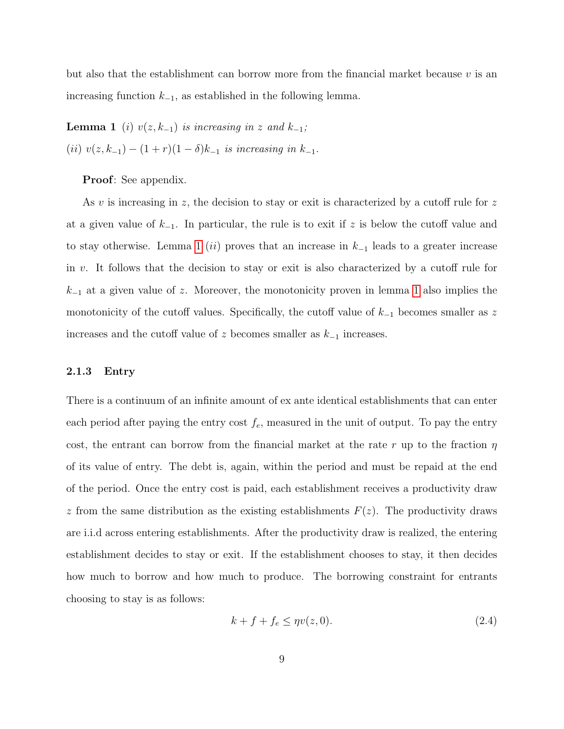<span id="page-9-0"></span>but also that the establishment can borrow more from the financial market because  $v$  is an increasing function  $k_{-1}$ , as established in the following lemma.

**Lemma 1** (i)  $v(z, k_{-1})$  is increasing in z and  $k_{-1}$ ; (ii)  $v(z, k_{-1}) - (1+r)(1-\delta)k_{-1}$  is increasing in  $k_{-1}$ .

### Proof: See appendix.

As v is increasing in z, the decision to stay or exit is characterized by a cutoff rule for z at a given value of  $k_{-1}$ . In particular, the rule is to exit if z is below the cutoff value and to stay otherwise. Lemma [1](#page-9-0) (ii) proves that an increase in  $k_{-1}$  leads to a greater increase in v. It follows that the decision to stay or exit is also characterized by a cutoff rule for  $k_{-1}$  at a given value of z. Moreover, the monotonicity proven in lemma [1](#page-9-0) also implies the monotonicity of the cutoff values. Specifically, the cutoff value of  $k_{-1}$  becomes smaller as z increases and the cutoff value of z becomes smaller as  $k_{-1}$  increases.

### 2.1.3 Entry

There is a continuum of an infinite amount of ex ante identical establishments that can enter each period after paying the entry cost  $f_e$ , measured in the unit of output. To pay the entry cost, the entrant can borrow from the financial market at the rate r up to the fraction  $\eta$ of its value of entry. The debt is, again, within the period and must be repaid at the end of the period. Once the entry cost is paid, each establishment receives a productivity draw z from the same distribution as the existing establishments  $F(z)$ . The productivity draws are i.i.d across entering establishments. After the productivity draw is realized, the entering establishment decides to stay or exit. If the establishment chooses to stay, it then decides how much to borrow and how much to produce. The borrowing constraint for entrants choosing to stay is as follows:

$$
k + f + f_e \le \eta v(z, 0). \tag{2.4}
$$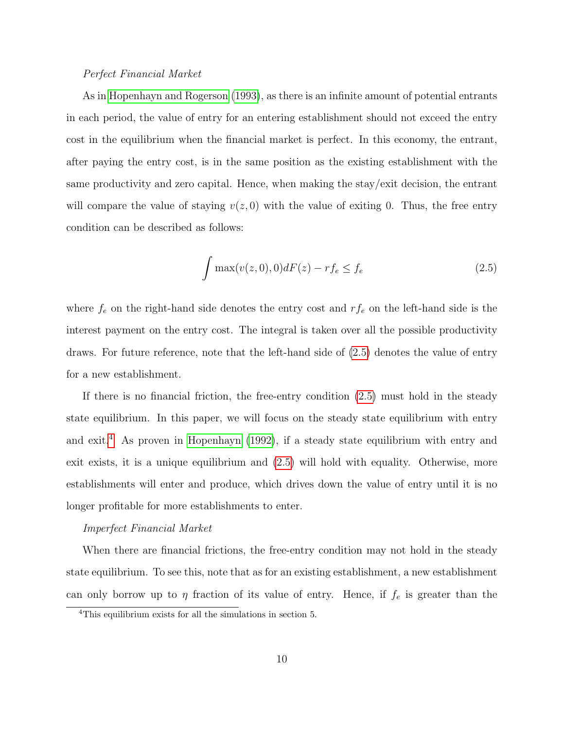#### Perfect Financial Market

As in [Hopenhayn and Rogerson](#page-28-3) [\(1993\)](#page-28-3), as there is an infinite amount of potential entrants in each period, the value of entry for an entering establishment should not exceed the entry cost in the equilibrium when the financial market is perfect. In this economy, the entrant, after paying the entry cost, is in the same position as the existing establishment with the same productivity and zero capital. Hence, when making the stay/exit decision, the entrant will compare the value of staying  $v(z, 0)$  with the value of exiting 0. Thus, the free entry condition can be described as follows:

<span id="page-10-0"></span>
$$
\int \max(v(z,0),0)dF(z) - rf_e \le f_e \tag{2.5}
$$

where  $f_e$  on the right-hand side denotes the entry cost and  $rf_e$  on the left-hand side is the interest payment on the entry cost. The integral is taken over all the possible productivity draws. For future reference, note that the left-hand side of [\(2.5\)](#page-10-0) denotes the value of entry for a new establishment.

If there is no financial friction, the free-entry condition [\(2.5\)](#page-10-0) must hold in the steady state equilibrium. In this paper, we will focus on the steady state equilibrium with entry and exit.<sup>[4](#page-10-1)</sup> As proven in [Hopenhayn](#page-28-2)  $(1992)$ , if a steady state equilibrium with entry and exit exists, it is a unique equilibrium and [\(2.5\)](#page-10-0) will hold with equality. Otherwise, more establishments will enter and produce, which drives down the value of entry until it is no longer profitable for more establishments to enter.

#### Imperfect Financial Market

When there are financial frictions, the free-entry condition may not hold in the steady state equilibrium. To see this, note that as for an existing establishment, a new establishment can only borrow up to  $\eta$  fraction of its value of entry. Hence, if  $f_e$  is greater than the

<span id="page-10-1"></span><sup>4</sup>This equilibrium exists for all the simulations in section 5.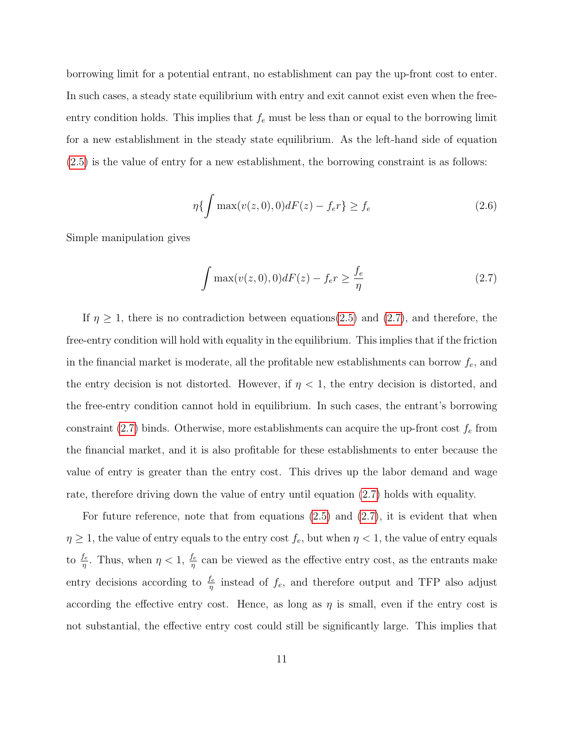borrowing limit for a potential entrant, no establishment can pay the up-front cost to enter. In such cases, a steady state equilibrium with entry and exit cannot exist even when the freeentry condition holds. This implies that  $f_e$  must be less than or equal to the borrowing limit for a new establishment in the steady state equilibrium. As the left-hand side of equation [\(2.5\)](#page-10-0) is the value of entry for a new establishment, the borrowing constraint is as follows:

$$
\eta\{\int \max(v(z,0),0)dF(z) - f_e r\} \ge f_e \tag{2.6}
$$

Simple manipulation gives

<span id="page-11-0"></span>
$$
\int \max(v(z,0),0)dF(z) - f_e r \ge \frac{f_e}{\eta}
$$
\n(2.7)

If  $\eta \geq 1$ , there is no contradiction between equations[\(2.5\)](#page-10-0) and [\(2.7\)](#page-11-0), and therefore, the free-entry condition will hold with equality in the equilibrium. This implies that if the friction in the financial market is moderate, all the profitable new establishments can borrow  $f_e$ , and the entry decision is not distorted. However, if  $\eta$  < 1, the entry decision is distorted, and the free-entry condition cannot hold in equilibrium. In such cases, the entrant's borrowing constraint [\(2.7\)](#page-11-0) binds. Otherwise, more establishments can acquire the up-front cost  $f_e$  from the financial market, and it is also profitable for these establishments to enter because the value of entry is greater than the entry cost. This drives up the labor demand and wage rate, therefore driving down the value of entry until equation [\(2.7\)](#page-11-0) holds with equality.

For future reference, note that from equations  $(2.5)$  and  $(2.7)$ , it is evident that when  $\eta \geq 1$ , the value of entry equals to the entry cost  $f_e$ , but when  $\eta < 1$ , the value of entry equals to  $\frac{f_e}{\eta}$ . Thus, when  $\eta < 1$ ,  $\frac{f_e}{\eta}$  can be viewed as the effective entry cost, as the entrants make entry decisions according to  $\frac{f_e}{\eta}$  instead of  $f_e$ , and therefore output and TFP also adjust according the effective entry cost. Hence, as long as  $\eta$  is small, even if the entry cost is not substantial, the effective entry cost could still be significantly large. This implies that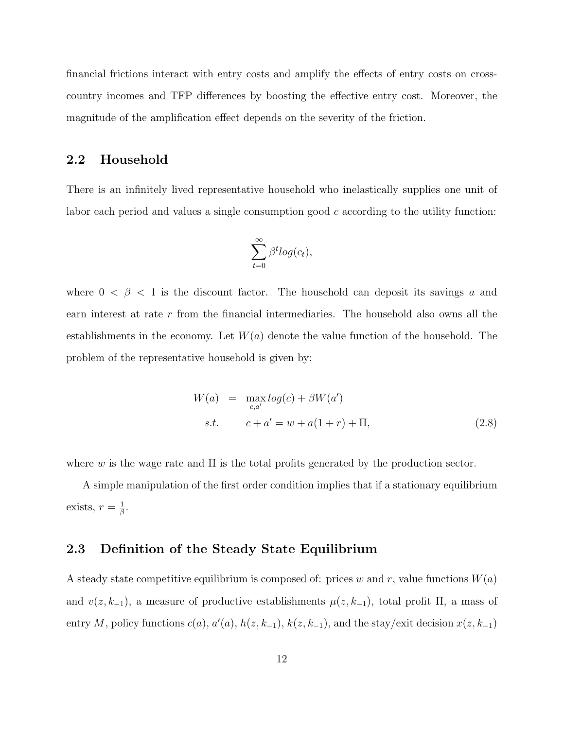financial frictions interact with entry costs and amplify the effects of entry costs on crosscountry incomes and TFP differences by boosting the effective entry cost. Moreover, the magnitude of the amplification effect depends on the severity of the friction.

### 2.2 Household

There is an infinitely lived representative household who inelastically supplies one unit of labor each period and values a single consumption good  $c$  according to the utility function:

$$
\sum_{t=0}^{\infty} \beta^t log(c_t),
$$

where  $0 < \beta < 1$  is the discount factor. The household can deposit its savings a and earn interest at rate r from the financial intermediaries. The household also owns all the establishments in the economy. Let  $W(a)$  denote the value function of the household. The problem of the representative household is given by:

$$
W(a) = \max_{c,a'} log(c) + \beta W(a')
$$
  
s.t.  $c + a' = w + a(1+r) + \Pi,$  (2.8)

where w is the wage rate and  $\Pi$  is the total profits generated by the production sector.

A simple manipulation of the first order condition implies that if a stationary equilibrium exists,  $r=\frac{1}{\beta}$  $\frac{1}{\beta}.$ 

## 2.3 Definition of the Steady State Equilibrium

A steady state competitive equilibrium is composed of: prices w and r, value functions  $W(a)$ and  $v(z, k_{-1})$ , a measure of productive establishments  $\mu(z, k_{-1})$ , total profit  $\Pi$ , a mass of entry M, policy functions  $c(a)$ ,  $a'(a)$ ,  $h(z, k_{-1})$ ,  $k(z, k_{-1})$ , and the stay/exit decision  $x(z, k_{-1})$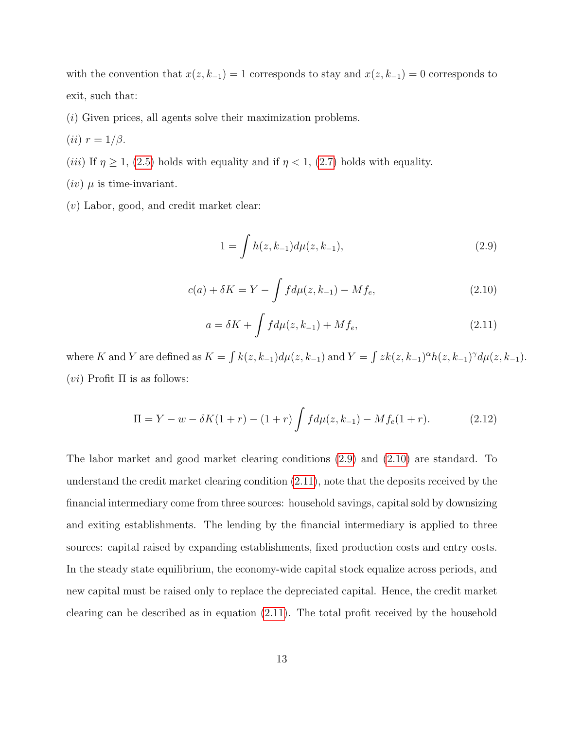with the convention that  $x(z, k_{-1}) = 1$  corresponds to stay and  $x(z, k_{-1}) = 0$  corresponds to exit, such that:

- (i) Given prices, all agents solve their maximization problems.
- (*ii*)  $r = 1/\beta$ .
- (*iii*) If  $\eta \ge 1$ , [\(2.5\)](#page-10-0) holds with equality and if  $\eta < 1$ , [\(2.7\)](#page-11-0) holds with equality.
- $(iv)$   $\mu$  is time-invariant.
- (v) Labor, good, and credit market clear:

<span id="page-13-0"></span>
$$
1 = \int h(z, k_{-1}) d\mu(z, k_{-1}), \tag{2.9}
$$

<span id="page-13-1"></span>
$$
c(a) + \delta K = Y - \int f d\mu(z, k_{-1}) - M f_e,
$$
\n(2.10)

<span id="page-13-2"></span>
$$
a = \delta K + \int f d\mu(z, k_{-1}) + M f_e,
$$
\n(2.11)

where K and Y are defined as  $K = \int k(z, k_{-1}) d\mu(z, k_{-1})$  and  $Y = \int zk(z, k_{-1})^{\alpha} h(z, k_{-1})^{\gamma} d\mu(z, k_{-1})$ . (*vi*) Profit  $\Pi$  is as follows:

<span id="page-13-3"></span>
$$
\Pi = Y - w - \delta K(1+r) - (1+r) \int f d\mu(z, k_{-1}) - M f_e(1+r). \tag{2.12}
$$

The labor market and good market clearing conditions [\(2.9\)](#page-13-0) and [\(2.10\)](#page-13-1) are standard. To understand the credit market clearing condition [\(2.11\)](#page-13-2), note that the deposits received by the financial intermediary come from three sources: household savings, capital sold by downsizing and exiting establishments. The lending by the financial intermediary is applied to three sources: capital raised by expanding establishments, fixed production costs and entry costs. In the steady state equilibrium, the economy-wide capital stock equalize across periods, and new capital must be raised only to replace the depreciated capital. Hence, the credit market clearing can be described as in equation [\(2.11\)](#page-13-2). The total profit received by the household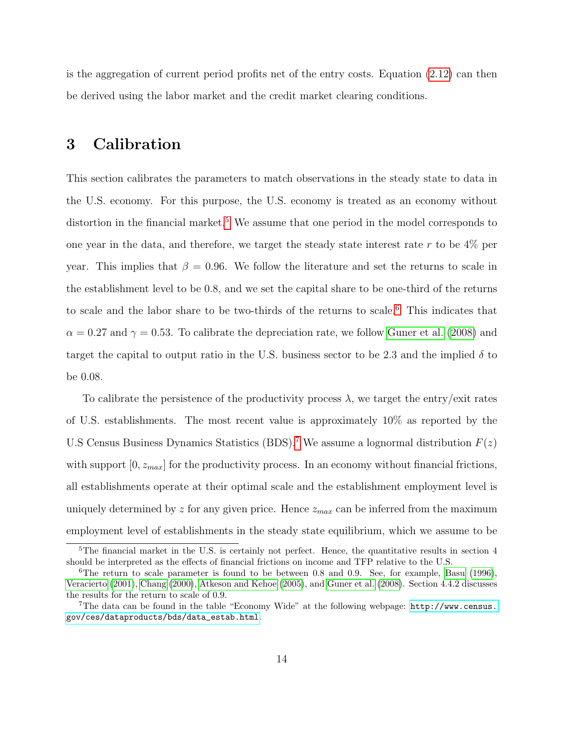is the aggregation of current period profits net of the entry costs. Equation [\(2.12\)](#page-13-3) can then be derived using the labor market and the credit market clearing conditions.

## <span id="page-14-3"></span>3 Calibration

This section calibrates the parameters to match observations in the steady state to data in the U.S. economy. For this purpose, the U.S. economy is treated as an economy without distortion in the financial market.<sup>[5](#page-14-0)</sup> We assume that one period in the model corresponds to one year in the data, and therefore, we target the steady state interest rate  $r$  to be  $4\%$  per year. This implies that  $\beta = 0.96$ . We follow the literature and set the returns to scale in the establishment level to be 0.8, and we set the capital share to be one-third of the returns to scale and the labor share to be two-thirds of the returns to scale.[6](#page-14-1) This indicates that  $\alpha = 0.27$  and  $\gamma = 0.53$ . To calibrate the depreciation rate, we follow [Guner et al.](#page-28-7) [\(2008\)](#page-28-7) and target the capital to output ratio in the U.S. business sector to be 2.3 and the implied  $\delta$  to be 0.08.

To calibrate the persistence of the productivity process  $\lambda$ , we target the entry/exit rates of U.S. establishments. The most recent value is approximately 10% as reported by the U.S Census Business Dynamics Statistics (BDS).<sup>[7](#page-14-2)</sup> We assume a lognormal distribution  $F(z)$ with support  $[0, z_{max}]$  for the productivity process. In an economy without financial frictions, all establishments operate at their optimal scale and the establishment employment level is uniquely determined by z for any given price. Hence  $z_{max}$  can be inferred from the maximum employment level of establishments in the steady state equilibrium, which we assume to be

<span id="page-14-0"></span> $5$ The financial market in the U.S. is certainly not perfect. Hence, the quantitative results in section 4 should be interpreted as the effects of financial frictions on income and TFP relative to the U.S.

<span id="page-14-1"></span><sup>&</sup>lt;sup>6</sup>The return to scale parameter is found to be between 0.8 and 0.9. See, for example, [Basu](#page-27-6) [\(1996\)](#page-27-6). [Veracierto](#page-30-0) [\(2001\)](#page-30-0), [Chang](#page-28-8) [\(2000\)](#page-28-8), [Atkeson and Kehoe](#page-27-7) [\(2005\)](#page-27-7), and [Guner et al.](#page-28-7) [\(2008\)](#page-28-7). Section 4.4.2 discusses the results for the return to scale of 0.9.

<span id="page-14-2"></span><sup>7</sup>The data can be found in the table "Economy Wide" at the following webpage: [http://www.census.](http://www.census.gov/ces/dataproducts/bds/data_estab.html) [gov/ces/dataproducts/bds/data\\_estab.html](http://www.census.gov/ces/dataproducts/bds/data_estab.html).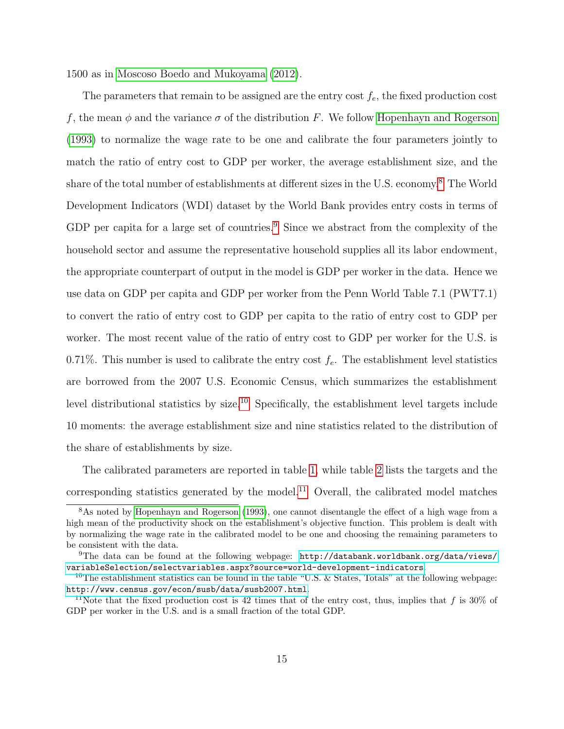1500 as in [Moscoso Boedo and Mukoyama](#page-29-6) [\(2012\)](#page-29-6).

The parameters that remain to be assigned are the entry cost  $f_e$ , the fixed production cost f, the mean  $\phi$  and the variance  $\sigma$  of the distribution F. We follow [Hopenhayn and Rogerson](#page-28-3) [\(1993\)](#page-28-3) to normalize the wage rate to be one and calibrate the four parameters jointly to match the ratio of entry cost to GDP per worker, the average establishment size, and the share of the total number of establishments at different sizes in the U.S. economy.[8](#page-15-0) The World Development Indicators (WDI) dataset by the World Bank provides entry costs in terms of GDP per capita for a large set of countries.<sup>[9](#page-15-1)</sup> Since we abstract from the complexity of the household sector and assume the representative household supplies all its labor endowment, the appropriate counterpart of output in the model is GDP per worker in the data. Hence we use data on GDP per capita and GDP per worker from the Penn World Table 7.1 (PWT7.1) to convert the ratio of entry cost to GDP per capita to the ratio of entry cost to GDP per worker. The most recent value of the ratio of entry cost to GDP per worker for the U.S. is 0.71%. This number is used to calibrate the entry cost  $f_e$ . The establishment level statistics are borrowed from the 2007 U.S. Economic Census, which summarizes the establishment level distributional statistics by size.<sup>[10](#page-15-2)</sup> Specifically, the establishment level targets include 10 moments: the average establishment size and nine statistics related to the distribution of the share of establishments by size.

The calibrated parameters are reported in table [1,](#page-31-0) while table [2](#page-31-1) lists the targets and the corresponding statistics generated by the model.<sup>[11](#page-15-3)</sup> Overall, the calibrated model matches

<span id="page-15-0"></span><sup>8</sup>As noted by [Hopenhayn and Rogerson](#page-28-3) [\(1993\)](#page-28-3), one cannot disentangle the effect of a high wage from a high mean of the productivity shock on the establishment's objective function. This problem is dealt with by normalizing the wage rate in the calibrated model to be one and choosing the remaining parameters to be consistent with the data.

<span id="page-15-1"></span> $^{9}$ The data can be found at the following webpage: [http://databank.worldbank.org/data/views/](http://databank.worldbank.org/data/views/variableSelection/selectvariables.aspx?source=world-development-indicators) [variableSelection/selectvariables.aspx?source=world-development-indicators](http://databank.worldbank.org/data/views/variableSelection/selectvariables.aspx?source=world-development-indicators).

<span id="page-15-2"></span><sup>&</sup>lt;sup>10</sup>The establishment statistics can be found in the table "U.S. & States, Totals" at the following webpage: <http://www.census.gov/econ/susb/data/susb2007.html>.

<span id="page-15-3"></span><sup>&</sup>lt;sup>11</sup>Note that the fixed production cost is 42 times that of the entry cost, thus, implies that f is 30% of GDP per worker in the U.S. and is a small fraction of the total GDP.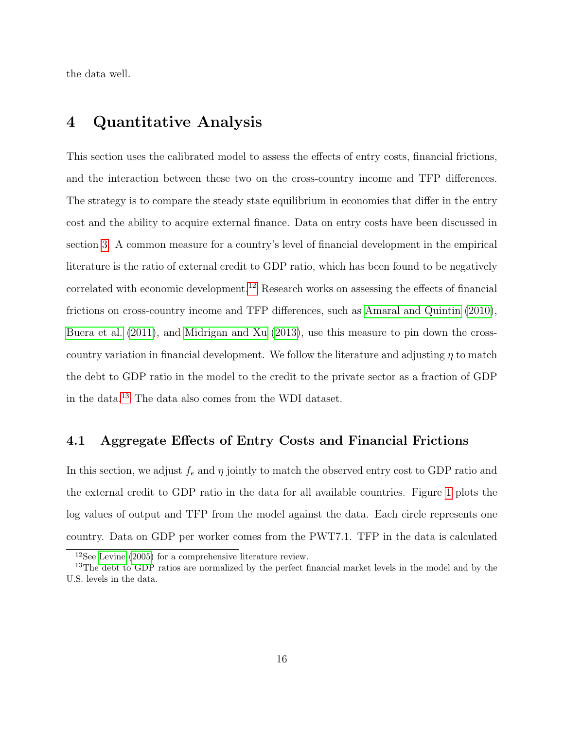the data well.

## 4 Quantitative Analysis

This section uses the calibrated model to assess the effects of entry costs, financial frictions, and the interaction between these two on the cross-country income and TFP differences. The strategy is to compare the steady state equilibrium in economies that differ in the entry cost and the ability to acquire external finance. Data on entry costs have been discussed in section [3.](#page-14-3) A common measure for a country's level of financial development in the empirical literature is the ratio of external credit to GDP ratio, which has been found to be negatively correlated with economic development.<sup>[12](#page-16-0)</sup> Research works on assessing the effects of financial frictions on cross-country income and TFP differences, such as [Amaral and Quintin](#page-27-3) [\(2010\)](#page-27-3), [Buera et al.](#page-27-4) [\(2011\)](#page-27-4), and [Midrigan and Xu](#page-29-7) [\(2013\)](#page-29-7), use this measure to pin down the crosscountry variation in financial development. We follow the literature and adjusting  $\eta$  to match the debt to GDP ratio in the model to the credit to the private sector as a fraction of GDP in the data.[13](#page-16-1) The data also comes from the WDI dataset.

### <span id="page-16-2"></span>4.1 Aggregate Effects of Entry Costs and Financial Frictions

In this section, we adjust  $f_e$  and  $\eta$  jointly to match the observed entry cost to GDP ratio and the external credit to GDP ratio in the data for all available countries. Figure [1](#page-32-0) plots the log values of output and TFP from the model against the data. Each circle represents one country. Data on GDP per worker comes from the PWT7.1. TFP in the data is calculated

<span id="page-16-1"></span><span id="page-16-0"></span><sup>12</sup>See [Levine](#page-29-5) [\(2005\)](#page-29-5) for a comprehensive literature review.

<sup>&</sup>lt;sup>13</sup>The debt to GDP ratios are normalized by the perfect financial market levels in the model and by the U.S. levels in the data.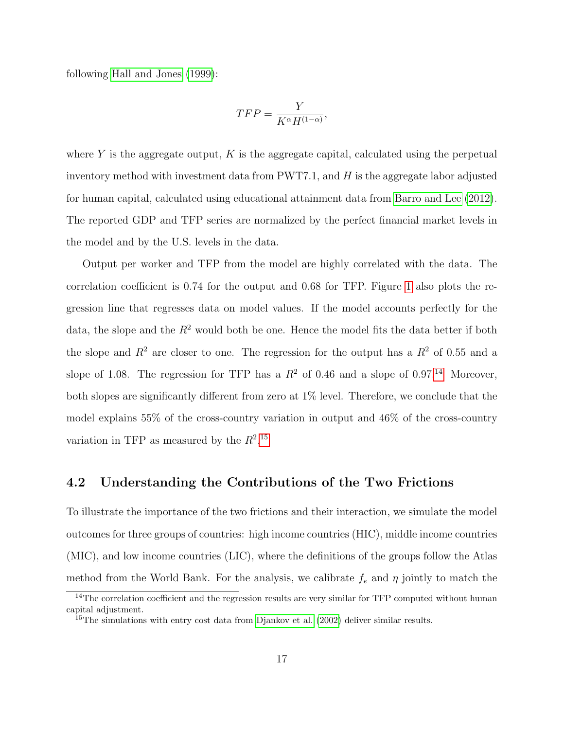following [Hall and Jones](#page-28-1) [\(1999\)](#page-28-1):

$$
TFP = \frac{Y}{K^{\alpha}H^{(1-\alpha)}},
$$

where Y is the aggregate output,  $K$  is the aggregate capital, calculated using the perpetual inventory method with investment data from  $\text{PWT7.1}$ , and H is the aggregate labor adjusted for human capital, calculated using educational attainment data from [Barro and Lee](#page-27-8) [\(2012\)](#page-27-8). The reported GDP and TFP series are normalized by the perfect financial market levels in the model and by the U.S. levels in the data.

Output per worker and TFP from the model are highly correlated with the data. The correlation coefficient is 0.74 for the output and 0.68 for TFP. Figure [1](#page-32-0) also plots the regression line that regresses data on model values. If the model accounts perfectly for the data, the slope and the  $R^2$  would both be one. Hence the model fits the data better if both the slope and  $R^2$  are closer to one. The regression for the output has a  $R^2$  of 0.55 and a slope of 1.08. The regression for TFP has a  $R^2$  of 0.46 and a slope of 0.97.<sup>[14](#page-17-0)</sup> Moreover, both slopes are significantly different from zero at 1% level. Therefore, we conclude that the model explains 55% of the cross-country variation in output and 46% of the cross-country variation in TFP as measured by the  $R^2$ .<sup>[15](#page-17-1)</sup>

## 4.2 Understanding the Contributions of the Two Frictions

To illustrate the importance of the two frictions and their interaction, we simulate the model outcomes for three groups of countries: high income countries (HIC), middle income countries (MIC), and low income countries (LIC), where the definitions of the groups follow the Atlas method from the World Bank. For the analysis, we calibrate  $f_e$  and  $\eta$  jointly to match the

<span id="page-17-0"></span><sup>&</sup>lt;sup>14</sup>The correlation coefficient and the regression results are very similar for TFP computed without human capital adjustment.

<span id="page-17-1"></span><sup>&</sup>lt;sup>15</sup>The simulations with entry cost data from [Djankov et al.](#page-28-0) [\(2002\)](#page-28-0) deliver similar results.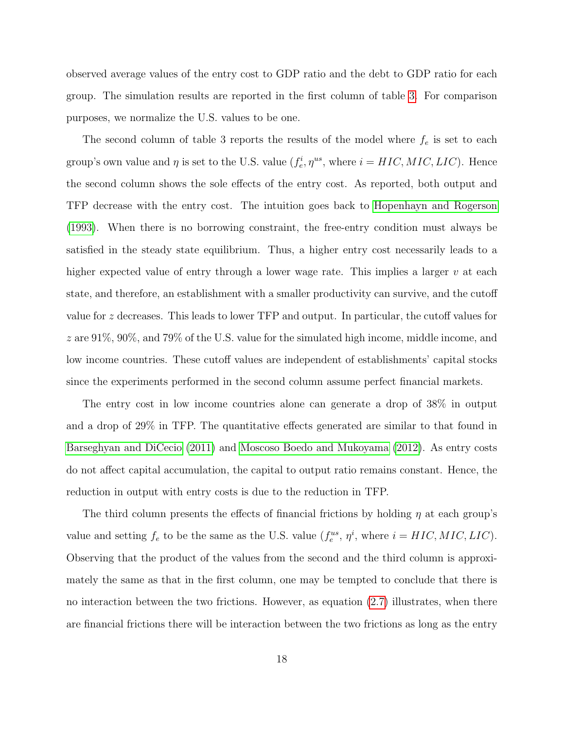observed average values of the entry cost to GDP ratio and the debt to GDP ratio for each group. The simulation results are reported in the first column of table [3.](#page-33-0) For comparison purposes, we normalize the U.S. values to be one.

The second column of table 3 reports the results of the model where  $f_e$  is set to each group's own value and  $\eta$  is set to the U.S. value  $(f_e^i, \eta^{us}, \text{ where } i = HIC, MIC, LIC)$ . Hence the second column shows the sole effects of the entry cost. As reported, both output and TFP decrease with the entry cost. The intuition goes back to [Hopenhayn and Rogerson](#page-28-3) [\(1993\)](#page-28-3). When there is no borrowing constraint, the free-entry condition must always be satisfied in the steady state equilibrium. Thus, a higher entry cost necessarily leads to a higher expected value of entry through a lower wage rate. This implies a larger  $v$  at each state, and therefore, an establishment with a smaller productivity can survive, and the cutoff value for z decreases. This leads to lower TFP and output. In particular, the cutoff values for z are 91%, 90%, and 79% of the U.S. value for the simulated high income, middle income, and low income countries. These cutoff values are independent of establishments' capital stocks since the experiments performed in the second column assume perfect financial markets.

The entry cost in low income countries alone can generate a drop of 38% in output and a drop of 29% in TFP. The quantitative effects generated are similar to that found in [Barseghyan and DiCecio](#page-27-5) [\(2011\)](#page-27-5) and [Moscoso Boedo and Mukoyama](#page-29-6) [\(2012\)](#page-29-6). As entry costs do not affect capital accumulation, the capital to output ratio remains constant. Hence, the reduction in output with entry costs is due to the reduction in TFP.

The third column presents the effects of financial frictions by holding  $\eta$  at each group's value and setting  $f_e$  to be the same as the U.S. value  $(f_e^{us}, \eta^i)$ , where  $i = HIC, MIC, LIC)$ . Observing that the product of the values from the second and the third column is approximately the same as that in the first column, one may be tempted to conclude that there is no interaction between the two frictions. However, as equation  $(2.7)$  illustrates, when there are financial frictions there will be interaction between the two frictions as long as the entry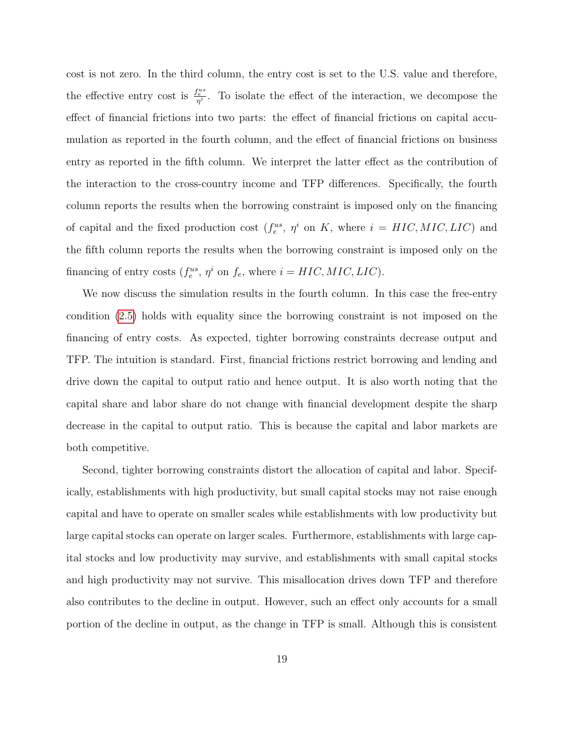cost is not zero. In the third column, the entry cost is set to the U.S. value and therefore, the effective entry cost is  $\frac{f_e^{us}}{n^i}$ . To isolate the effect of the interaction, we decompose the effect of financial frictions into two parts: the effect of financial frictions on capital accumulation as reported in the fourth column, and the effect of financial frictions on business entry as reported in the fifth column. We interpret the latter effect as the contribution of the interaction to the cross-country income and TFP differences. Specifically, the fourth column reports the results when the borrowing constraint is imposed only on the financing of capital and the fixed production cost  $(f_e^{us}, \eta^i \text{ on } K, \text{ where } i = HIC, MIC, LIC)$  and the fifth column reports the results when the borrowing constraint is imposed only on the financing of entry costs  $(f_e^{us}, \eta^i \text{ on } f_e, \text{ where } i = HIC, MIC, LIC)$ .

We now discuss the simulation results in the fourth column. In this case the free-entry condition [\(2.5\)](#page-10-0) holds with equality since the borrowing constraint is not imposed on the financing of entry costs. As expected, tighter borrowing constraints decrease output and TFP. The intuition is standard. First, financial frictions restrict borrowing and lending and drive down the capital to output ratio and hence output. It is also worth noting that the capital share and labor share do not change with financial development despite the sharp decrease in the capital to output ratio. This is because the capital and labor markets are both competitive.

Second, tighter borrowing constraints distort the allocation of capital and labor. Specifically, establishments with high productivity, but small capital stocks may not raise enough capital and have to operate on smaller scales while establishments with low productivity but large capital stocks can operate on larger scales. Furthermore, establishments with large capital stocks and low productivity may survive, and establishments with small capital stocks and high productivity may not survive. This misallocation drives down TFP and therefore also contributes to the decline in output. However, such an effect only accounts for a small portion of the decline in output, as the change in TFP is small. Although this is consistent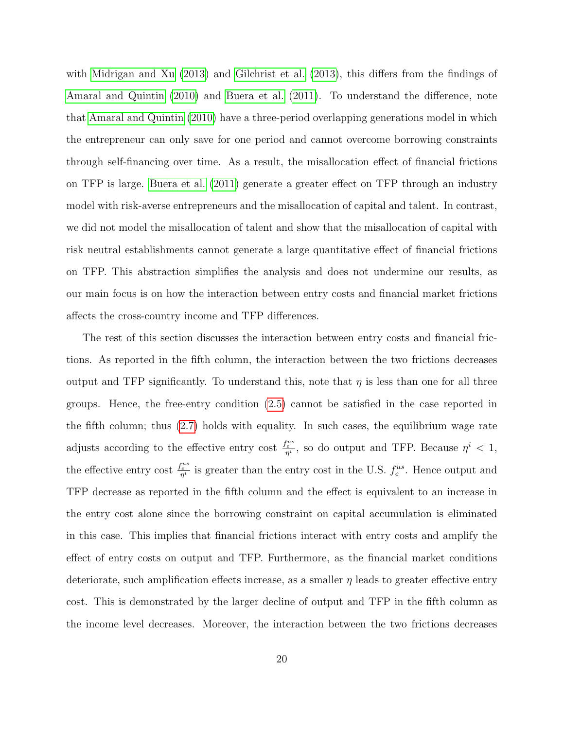with [Midrigan and Xu](#page-29-7) [\(2013\)](#page-29-7) and [Gilchrist et al.](#page-28-9) [\(2013\)](#page-28-9), this differs from the findings of [Amaral and Quintin](#page-27-3) [\(2010\)](#page-27-3) and [Buera et al.](#page-27-4) [\(2011\)](#page-27-4). To understand the difference, note that [Amaral and Quintin](#page-27-3) [\(2010\)](#page-27-3) have a three-period overlapping generations model in which the entrepreneur can only save for one period and cannot overcome borrowing constraints through self-financing over time. As a result, the misallocation effect of financial frictions on TFP is large. [Buera et al.](#page-27-4) [\(2011\)](#page-27-4) generate a greater effect on TFP through an industry model with risk-averse entrepreneurs and the misallocation of capital and talent. In contrast, we did not model the misallocation of talent and show that the misallocation of capital with risk neutral establishments cannot generate a large quantitative effect of financial frictions on TFP. This abstraction simplifies the analysis and does not undermine our results, as our main focus is on how the interaction between entry costs and financial market frictions affects the cross-country income and TFP differences.

The rest of this section discusses the interaction between entry costs and financial frictions. As reported in the fifth column, the interaction between the two frictions decreases output and TFP significantly. To understand this, note that  $\eta$  is less than one for all three groups. Hence, the free-entry condition [\(2.5\)](#page-10-0) cannot be satisfied in the case reported in the fifth column; thus [\(2.7\)](#page-11-0) holds with equality. In such cases, the equilibrium wage rate adjusts according to the effective entry cost  $\frac{f_e^{us}}{\eta^i}$ , so do output and TFP. Because  $\eta^i < 1$ , the effective entry cost  $\frac{f_e^{us}}{\eta^i}$  is greater than the entry cost in the U.S.  $f_e^{us}$ . Hence output and TFP decrease as reported in the fifth column and the effect is equivalent to an increase in the entry cost alone since the borrowing constraint on capital accumulation is eliminated in this case. This implies that financial frictions interact with entry costs and amplify the effect of entry costs on output and TFP. Furthermore, as the financial market conditions deteriorate, such amplification effects increase, as a smaller  $\eta$  leads to greater effective entry cost. This is demonstrated by the larger decline of output and TFP in the fifth column as the income level decreases. Moreover, the interaction between the two frictions decreases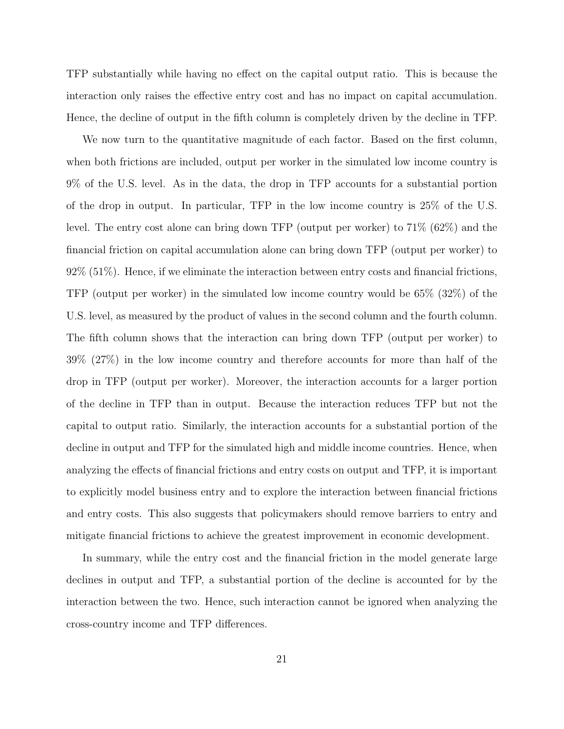TFP substantially while having no effect on the capital output ratio. This is because the interaction only raises the effective entry cost and has no impact on capital accumulation. Hence, the decline of output in the fifth column is completely driven by the decline in TFP.

We now turn to the quantitative magnitude of each factor. Based on the first column, when both frictions are included, output per worker in the simulated low income country is 9% of the U.S. level. As in the data, the drop in TFP accounts for a substantial portion of the drop in output. In particular, TFP in the low income country is 25% of the U.S. level. The entry cost alone can bring down TFP (output per worker) to 71% (62%) and the financial friction on capital accumulation alone can bring down TFP (output per worker) to  $92\%$  (51%). Hence, if we eliminate the interaction between entry costs and financial frictions, TFP (output per worker) in the simulated low income country would be 65% (32%) of the U.S. level, as measured by the product of values in the second column and the fourth column. The fifth column shows that the interaction can bring down TFP (output per worker) to 39% (27%) in the low income country and therefore accounts for more than half of the drop in TFP (output per worker). Moreover, the interaction accounts for a larger portion of the decline in TFP than in output. Because the interaction reduces TFP but not the capital to output ratio. Similarly, the interaction accounts for a substantial portion of the decline in output and TFP for the simulated high and middle income countries. Hence, when analyzing the effects of financial frictions and entry costs on output and TFP, it is important to explicitly model business entry and to explore the interaction between financial frictions and entry costs. This also suggests that policymakers should remove barriers to entry and mitigate financial frictions to achieve the greatest improvement in economic development.

In summary, while the entry cost and the financial friction in the model generate large declines in output and TFP, a substantial portion of the decline is accounted for by the interaction between the two. Hence, such interaction cannot be ignored when analyzing the cross-country income and TFP differences.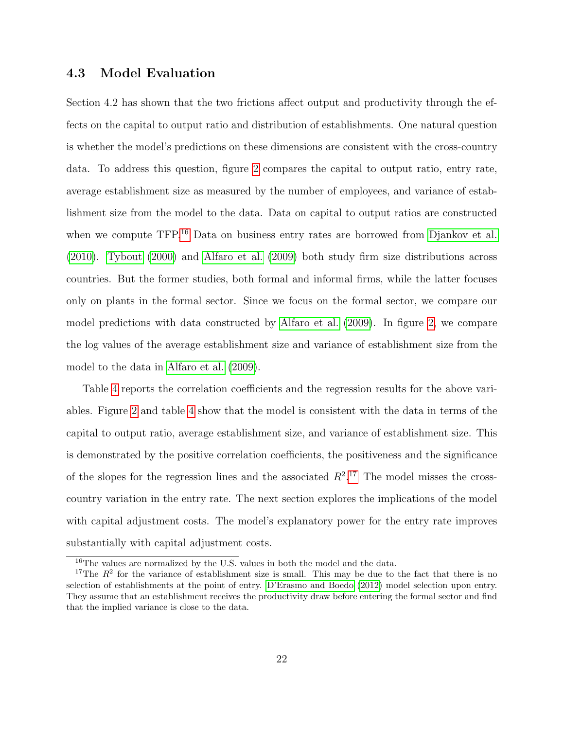## 4.3 Model Evaluation

Section 4.2 has shown that the two frictions affect output and productivity through the effects on the capital to output ratio and distribution of establishments. One natural question is whether the model's predictions on these dimensions are consistent with the cross-country data. To address this question, figure [2](#page-34-0) compares the capital to output ratio, entry rate, average establishment size as measured by the number of employees, and variance of establishment size from the model to the data. Data on capital to output ratios are constructed when we compute TFP.<sup>[16](#page-22-0)</sup> Data on business entry rates are borrowed from [Djankov et al.](#page-28-10) [\(2010\)](#page-28-10). [Tybout](#page-29-11) [\(2000\)](#page-29-11) and [Alfaro et al.](#page-27-9) [\(2009\)](#page-27-9) both study firm size distributions across countries. But the former studies, both formal and informal firms, while the latter focuses only on plants in the formal sector. Since we focus on the formal sector, we compare our model predictions with data constructed by [Alfaro et al.](#page-27-9) [\(2009\)](#page-27-9). In figure [2,](#page-34-0) we compare the log values of the average establishment size and variance of establishment size from the model to the data in [Alfaro et al.](#page-27-9) [\(2009\)](#page-27-9).

Table [4](#page-35-0) reports the correlation coefficients and the regression results for the above variables. Figure [2](#page-34-0) and table [4](#page-35-0) show that the model is consistent with the data in terms of the capital to output ratio, average establishment size, and variance of establishment size. This is demonstrated by the positive correlation coefficients, the positiveness and the significance of the slopes for the regression lines and the associated  $R^2$ .<sup>[17](#page-22-1)</sup> The model misses the crosscountry variation in the entry rate. The next section explores the implications of the model with capital adjustment costs. The model's explanatory power for the entry rate improves substantially with capital adjustment costs.

<span id="page-22-1"></span><span id="page-22-0"></span><sup>16</sup>The values are normalized by the U.S. values in both the model and the data.

<sup>&</sup>lt;sup>17</sup>The  $R^2$  for the variance of establishment size is small. This may be due to the fact that there is no selection of establishments at the point of entry. [D'Erasmo and Boedo](#page-28-4) [\(2012\)](#page-28-4) model selection upon entry. They assume that an establishment receives the productivity draw before entering the formal sector and find that the implied variance is close to the data.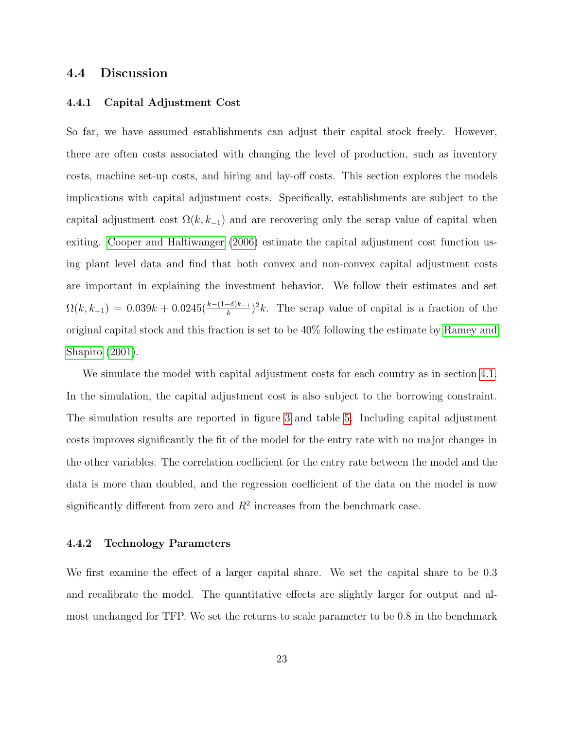## 4.4 Discussion

### 4.4.1 Capital Adjustment Cost

So far, we have assumed establishments can adjust their capital stock freely. However, there are often costs associated with changing the level of production, such as inventory costs, machine set-up costs, and hiring and lay-off costs. This section explores the models implications with capital adjustment costs. Specifically, establishments are subject to the capital adjustment cost  $\Omega(k, k_{-1})$  and are recovering only the scrap value of capital when exiting. [Cooper and Haltiwanger](#page-28-11) [\(2006\)](#page-28-11) estimate the capital adjustment cost function using plant level data and find that both convex and non-convex capital adjustment costs are important in explaining the investment behavior. We follow their estimates and set  $\Omega(k, k_{-1}) = 0.039k + 0.0245(\frac{k - (1 - \delta)k_{-1}}{k})^2 k$ . The scrap value of capital is a fraction of the original capital stock and this fraction is set to be 40% following the estimate by [Ramey and](#page-29-12) [Shapiro](#page-29-12) [\(2001\)](#page-29-12).

We simulate the model with capital adjustment costs for each country as in section [4.1.](#page-16-2) In the simulation, the capital adjustment cost is also subject to the borrowing constraint. The simulation results are reported in figure [3](#page-36-0) and table [5.](#page-37-0) Including capital adjustment costs improves significantly the fit of the model for the entry rate with no major changes in the other variables. The correlation coefficient for the entry rate between the model and the data is more than doubled, and the regression coefficient of the data on the model is now significantly different from zero and  $R^2$  increases from the benchmark case.

#### 4.4.2 Technology Parameters

We first examine the effect of a larger capital share. We set the capital share to be 0.3 and recalibrate the model. The quantitative effects are slightly larger for output and almost unchanged for TFP. We set the returns to scale parameter to be 0.8 in the benchmark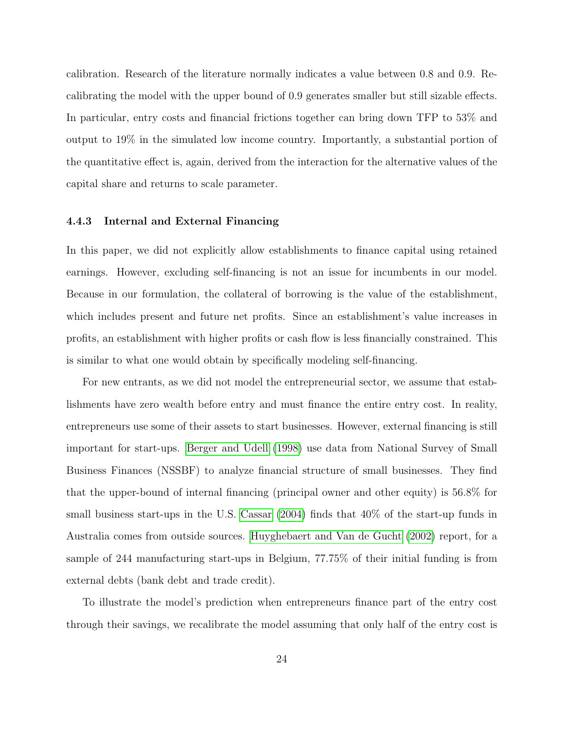calibration. Research of the literature normally indicates a value between 0.8 and 0.9. Recalibrating the model with the upper bound of 0.9 generates smaller but still sizable effects. In particular, entry costs and financial frictions together can bring down TFP to 53% and output to 19% in the simulated low income country. Importantly, a substantial portion of the quantitative effect is, again, derived from the interaction for the alternative values of the capital share and returns to scale parameter.

### 4.4.3 Internal and External Financing

In this paper, we did not explicitly allow establishments to finance capital using retained earnings. However, excluding self-financing is not an issue for incumbents in our model. Because in our formulation, the collateral of borrowing is the value of the establishment, which includes present and future net profits. Since an establishment's value increases in profits, an establishment with higher profits or cash flow is less financially constrained. This is similar to what one would obtain by specifically modeling self-financing.

For new entrants, as we did not model the entrepreneurial sector, we assume that establishments have zero wealth before entry and must finance the entire entry cost. In reality, entrepreneurs use some of their assets to start businesses. However, external financing is still important for start-ups. [Berger and Udell](#page-27-10) [\(1998\)](#page-27-10) use data from National Survey of Small Business Finances (NSSBF) to analyze financial structure of small businesses. They find that the upper-bound of internal financing (principal owner and other equity) is 56.8% for small business start-ups in the U.S. [Cassar](#page-27-11) [\(2004\)](#page-27-11) finds that 40% of the start-up funds in Australia comes from outside sources. [Huyghebaert and Van de Gucht](#page-28-12) [\(2002\)](#page-28-12) report, for a sample of 244 manufacturing start-ups in Belgium, 77.75% of their initial funding is from external debts (bank debt and trade credit).

To illustrate the model's prediction when entrepreneurs finance part of the entry cost through their savings, we recalibrate the model assuming that only half of the entry cost is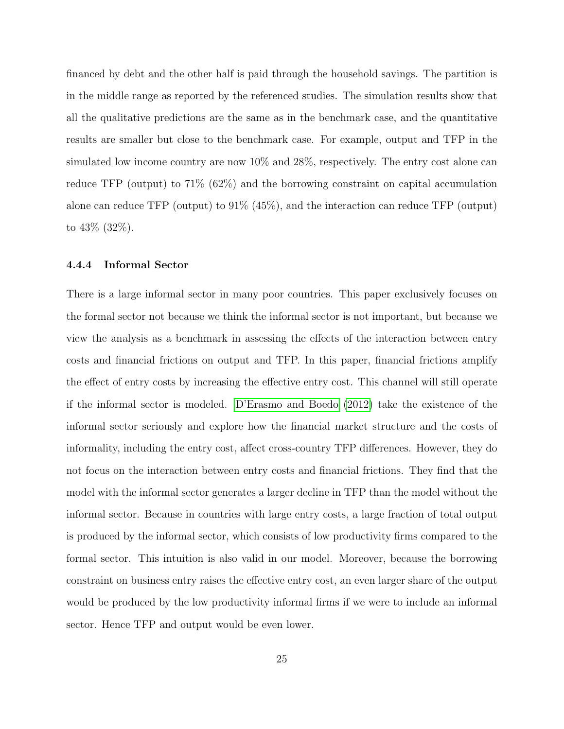financed by debt and the other half is paid through the household savings. The partition is in the middle range as reported by the referenced studies. The simulation results show that all the qualitative predictions are the same as in the benchmark case, and the quantitative results are smaller but close to the benchmark case. For example, output and TFP in the simulated low income country are now 10% and 28%, respectively. The entry cost alone can reduce TFP (output) to 71% (62%) and the borrowing constraint on capital accumulation alone can reduce TFP (output) to 91% (45%), and the interaction can reduce TFP (output) to 43% (32%).

#### 4.4.4 Informal Sector

There is a large informal sector in many poor countries. This paper exclusively focuses on the formal sector not because we think the informal sector is not important, but because we view the analysis as a benchmark in assessing the effects of the interaction between entry costs and financial frictions on output and TFP. In this paper, financial frictions amplify the effect of entry costs by increasing the effective entry cost. This channel will still operate if the informal sector is modeled. [D'Erasmo and Boedo](#page-28-4) [\(2012\)](#page-28-4) take the existence of the informal sector seriously and explore how the financial market structure and the costs of informality, including the entry cost, affect cross-country TFP differences. However, they do not focus on the interaction between entry costs and financial frictions. They find that the model with the informal sector generates a larger decline in TFP than the model without the informal sector. Because in countries with large entry costs, a large fraction of total output is produced by the informal sector, which consists of low productivity firms compared to the formal sector. This intuition is also valid in our model. Moreover, because the borrowing constraint on business entry raises the effective entry cost, an even larger share of the output would be produced by the low productivity informal firms if we were to include an informal sector. Hence TFP and output would be even lower.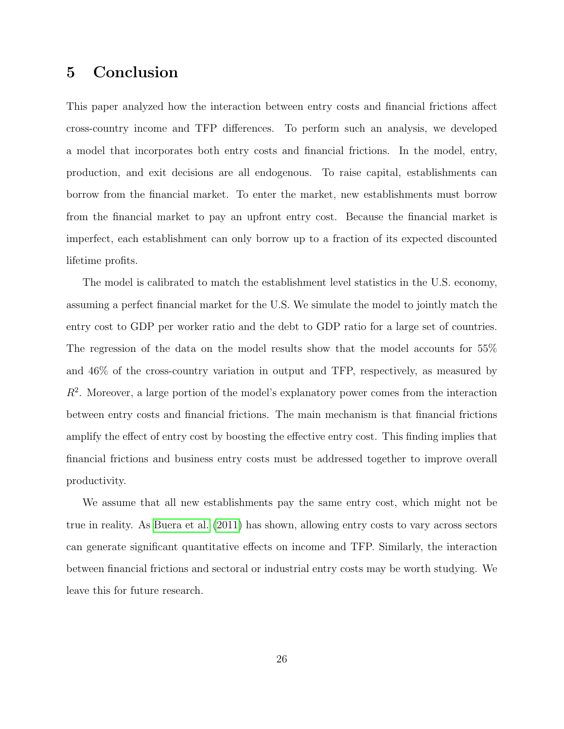## 5 Conclusion

This paper analyzed how the interaction between entry costs and financial frictions affect cross-country income and TFP differences. To perform such an analysis, we developed a model that incorporates both entry costs and financial frictions. In the model, entry, production, and exit decisions are all endogenous. To raise capital, establishments can borrow from the financial market. To enter the market, new establishments must borrow from the financial market to pay an upfront entry cost. Because the financial market is imperfect, each establishment can only borrow up to a fraction of its expected discounted lifetime profits.

The model is calibrated to match the establishment level statistics in the U.S. economy, assuming a perfect financial market for the U.S. We simulate the model to jointly match the entry cost to GDP per worker ratio and the debt to GDP ratio for a large set of countries. The regression of the data on the model results show that the model accounts for 55% and 46% of the cross-country variation in output and TFP, respectively, as measured by  $R<sup>2</sup>$ . Moreover, a large portion of the model's explanatory power comes from the interaction between entry costs and financial frictions. The main mechanism is that financial frictions amplify the effect of entry cost by boosting the effective entry cost. This finding implies that financial frictions and business entry costs must be addressed together to improve overall productivity.

We assume that all new establishments pay the same entry cost, which might not be true in reality. As [Buera et al.](#page-27-4) [\(2011\)](#page-27-4) has shown, allowing entry costs to vary across sectors can generate significant quantitative effects on income and TFP. Similarly, the interaction between financial frictions and sectoral or industrial entry costs may be worth studying. We leave this for future research.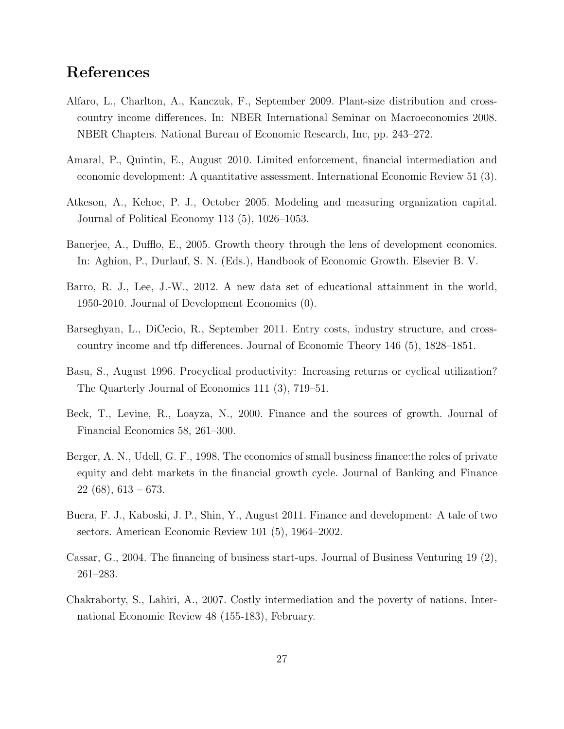## References

- <span id="page-27-9"></span>Alfaro, L., Charlton, A., Kanczuk, F., September 2009. Plant-size distribution and crosscountry income differences. In: NBER International Seminar on Macroeconomics 2008. NBER Chapters. National Bureau of Economic Research, Inc, pp. 243–272.
- <span id="page-27-3"></span>Amaral, P., Quintin, E., August 2010. Limited enforcement, financial intermediation and economic development: A quantitative assessment. International Economic Review 51 (3).
- <span id="page-27-7"></span>Atkeson, A., Kehoe, P. J., October 2005. Modeling and measuring organization capital. Journal of Political Economy 113 (5), 1026–1053.
- <span id="page-27-2"></span>Banerjee, A., Dufflo, E., 2005. Growth theory through the lens of development economics. In: Aghion, P., Durlauf, S. N. (Eds.), Handbook of Economic Growth. Elsevier B. V.
- <span id="page-27-8"></span>Barro, R. J., Lee, J.-W., 2012. A new data set of educational attainment in the world, 1950-2010. Journal of Development Economics (0).
- <span id="page-27-5"></span>Barseghyan, L., DiCecio, R., September 2011. Entry costs, industry structure, and crosscountry income and tfp differences. Journal of Economic Theory 146 (5), 1828–1851.
- <span id="page-27-6"></span>Basu, S., August 1996. Procyclical productivity: Increasing returns or cyclical utilization? The Quarterly Journal of Economics 111 (3), 719–51.
- <span id="page-27-0"></span>Beck, T., Levine, R., Loayza, N., 2000. Finance and the sources of growth. Journal of Financial Economics 58, 261–300.
- <span id="page-27-10"></span>Berger, A. N., Udell, G. F., 1998. The economics of small business finance:the roles of private equity and debt markets in the financial growth cycle. Journal of Banking and Finance  $22(68), 613-673.$
- <span id="page-27-4"></span>Buera, F. J., Kaboski, J. P., Shin, Y., August 2011. Finance and development: A tale of two sectors. American Economic Review 101 (5), 1964–2002.
- <span id="page-27-11"></span>Cassar, G., 2004. The financing of business start-ups. Journal of Business Venturing 19 (2), 261–283.
- <span id="page-27-1"></span>Chakraborty, S., Lahiri, A., 2007. Costly intermediation and the poverty of nations. International Economic Review 48 (155-183), February.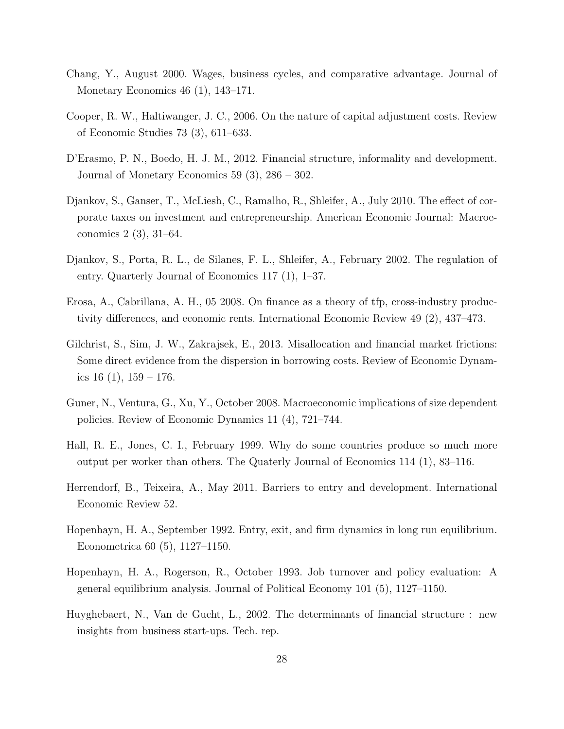- <span id="page-28-8"></span>Chang, Y., August 2000. Wages, business cycles, and comparative advantage. Journal of Monetary Economics 46 (1), 143–171.
- <span id="page-28-11"></span>Cooper, R. W., Haltiwanger, J. C., 2006. On the nature of capital adjustment costs. Review of Economic Studies 73 (3), 611–633.
- <span id="page-28-4"></span>D'Erasmo, P. N., Boedo, H. J. M., 2012. Financial structure, informality and development. Journal of Monetary Economics 59 (3), 286 – 302.
- <span id="page-28-10"></span>Djankov, S., Ganser, T., McLiesh, C., Ramalho, R., Shleifer, A., July 2010. The effect of corporate taxes on investment and entrepreneurship. American Economic Journal: Macroeconomics 2 (3), 31–64.
- <span id="page-28-0"></span>Djankov, S., Porta, R. L., de Silanes, F. L., Shleifer, A., February 2002. The regulation of entry. Quarterly Journal of Economics 117 (1), 1–37.
- <span id="page-28-6"></span>Erosa, A., Cabrillana, A. H., 05 2008. On finance as a theory of tfp, cross-industry productivity differences, and economic rents. International Economic Review 49 (2), 437–473.
- <span id="page-28-9"></span>Gilchrist, S., Sim, J. W., Zakrajsek, E., 2013. Misallocation and financial market frictions: Some direct evidence from the dispersion in borrowing costs. Review of Economic Dynamics  $16$   $(1)$ ,  $159 - 176$ .
- <span id="page-28-7"></span>Guner, N., Ventura, G., Xu, Y., October 2008. Macroeconomic implications of size dependent policies. Review of Economic Dynamics 11 (4), 721–744.
- <span id="page-28-1"></span>Hall, R. E., Jones, C. I., February 1999. Why do some countries produce so much more output per worker than others. The Quaterly Journal of Economics 114 (1), 83–116.
- <span id="page-28-5"></span>Herrendorf, B., Teixeira, A., May 2011. Barriers to entry and development. International Economic Review 52.
- <span id="page-28-2"></span>Hopenhayn, H. A., September 1992. Entry, exit, and firm dynamics in long run equilibrium. Econometrica 60 (5), 1127–1150.
- <span id="page-28-3"></span>Hopenhayn, H. A., Rogerson, R., October 1993. Job turnover and policy evaluation: A general equilibrium analysis. Journal of Political Economy 101 (5), 1127–1150.
- <span id="page-28-12"></span>Huyghebaert, N., Van de Gucht, L., 2002. The determinants of financial structure : new insights from business start-ups. Tech. rep.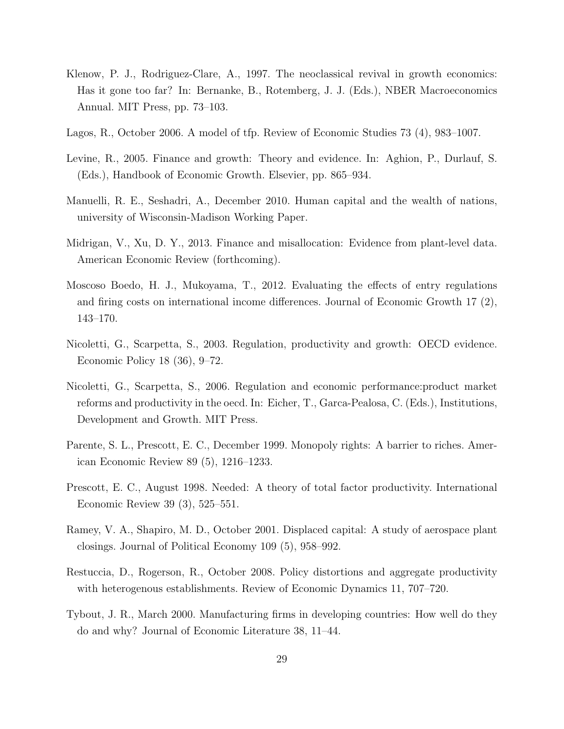- <span id="page-29-2"></span>Klenow, P. J., Rodriguez-Clare, A., 1997. The neoclassical revival in growth economics: Has it gone too far? In: Bernanke, B., Rotemberg, J. J. (Eds.), NBER Macroeconomics Annual. MIT Press, pp. 73–103.
- <span id="page-29-9"></span>Lagos, R., October 2006. A model of tfp. Review of Economic Studies 73 (4), 983–1007.
- <span id="page-29-5"></span>Levine, R., 2005. Finance and growth: Theory and evidence. In: Aghion, P., Durlauf, S. (Eds.), Handbook of Economic Growth. Elsevier, pp. 865–934.
- <span id="page-29-4"></span>Manuelli, R. E., Seshadri, A., December 2010. Human capital and the wealth of nations, university of Wisconsin-Madison Working Paper.
- <span id="page-29-7"></span>Midrigan, V., Xu, D. Y., 2013. Finance and misallocation: Evidence from plant-level data. American Economic Review (forthcoming).
- <span id="page-29-6"></span>Moscoso Boedo, H. J., Mukoyama, T., 2012. Evaluating the effects of entry regulations and firing costs on international income differences. Journal of Economic Growth 17 (2), 143–170.
- <span id="page-29-0"></span>Nicoletti, G., Scarpetta, S., 2003. Regulation, productivity and growth: OECD evidence. Economic Policy 18 (36), 9–72.
- <span id="page-29-1"></span>Nicoletti, G., Scarpetta, S., 2006. Regulation and economic performance:product market reforms and productivity in the oecd. In: Eicher, T., Garca-Pealosa, C. (Eds.), Institutions, Development and Growth. MIT Press.
- <span id="page-29-8"></span>Parente, S. L., Prescott, E. C., December 1999. Monopoly rights: A barrier to riches. American Economic Review 89 (5), 1216–1233.
- <span id="page-29-3"></span>Prescott, E. C., August 1998. Needed: A theory of total factor productivity. International Economic Review 39 (3), 525–551.
- <span id="page-29-12"></span>Ramey, V. A., Shapiro, M. D., October 2001. Displaced capital: A study of aerospace plant closings. Journal of Political Economy 109 (5), 958–992.
- <span id="page-29-10"></span>Restuccia, D., Rogerson, R., October 2008. Policy distortions and aggregate productivity with heterogenous establishments. Review of Economic Dynamics 11, 707–720.
- <span id="page-29-11"></span>Tybout, J. R., March 2000. Manufacturing firms in developing countries: How well do they do and why? Journal of Economic Literature 38, 11–44.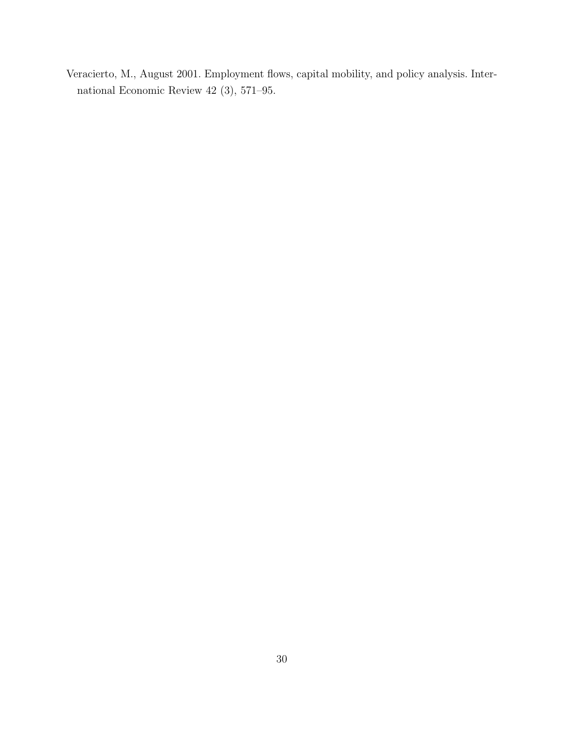<span id="page-30-0"></span>Veracierto, M., August 2001. Employment flows, capital mobility, and policy analysis. International Economic Review 42 (3), 571–95.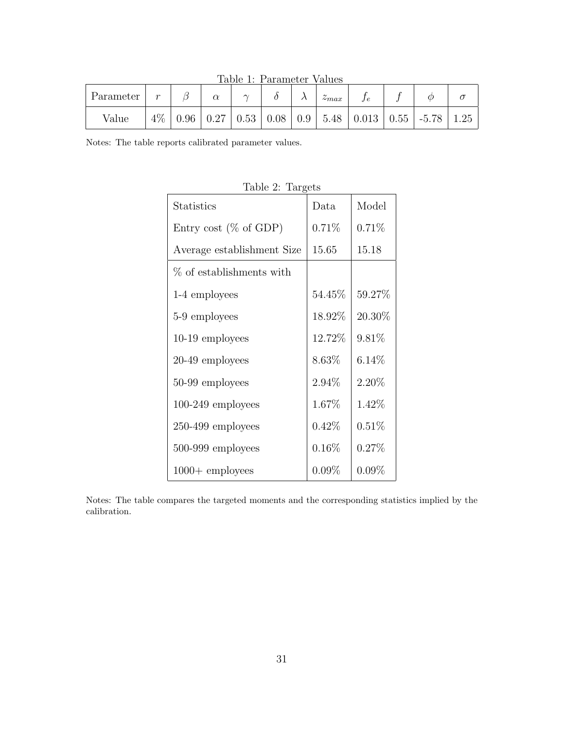<span id="page-31-0"></span>Table 1: Parameter Values

| Parameter | $\sim$ |      | $\alpha$ | $\sim$ |      |     | $\tilde{\phantom{a}}$<br>$\sim$ max |       |      |         |           |
|-----------|--------|------|----------|--------|------|-----|-------------------------------------|-------|------|---------|-----------|
| Value     | $4\%$  | 0.96 | 0.27     | 0.53   | 0.08 | 0.9 | 5.48                                | 0.013 | 0.55 | $-5.78$ | $\pm .25$ |

Notes: The table reports calibrated parameter values.

| $10010 + 101800$           |          |          |
|----------------------------|----------|----------|
| <b>Statistics</b>          | Data     | Model    |
| Entry cost ( $\%$ of GDP)  | 0.71%    | 0.71%    |
| Average establishment Size | 15.65    | 15.18    |
| % of establishments with   |          |          |
| 1-4 employees              | 54.45\%  | 59.27%   |
| 5-9 employees              | 18.92%   | 20.30%   |
| 10-19 employees            | 12.72%   | 9.81\%   |
| 20-49 employees            | 8.63%    | $6.14\%$ |
| 50-99 employees            | 2.94%    | 2.20%    |
| $100-249$ employees        | 1.67%    | 1.42\%   |
| $250-499$ employees        | $0.42\%$ | 0.51%    |
| 500-999 employees          | $0.16\%$ | 0.27%    |
| $1000 +$ employees         | $0.09\%$ | $0.09\%$ |

<span id="page-31-1"></span>Table 2: Targets

Notes: The table compares the targeted moments and the corresponding statistics implied by the calibration.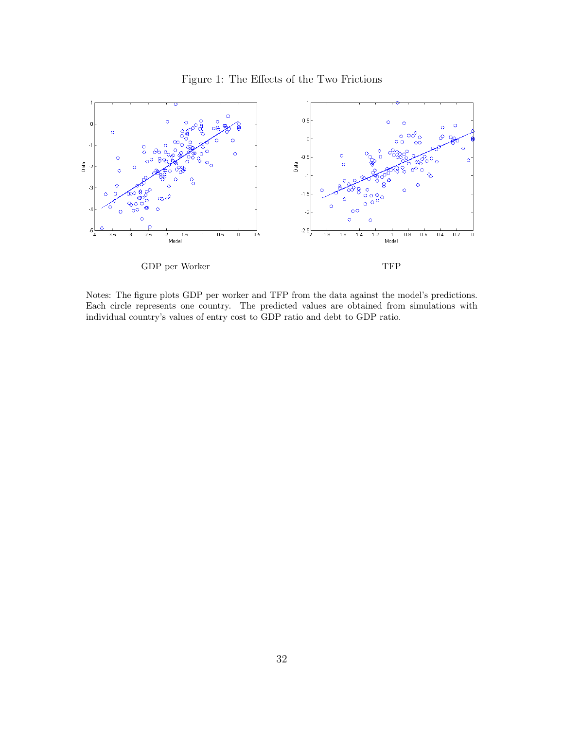## <span id="page-32-0"></span>Figure 1: The Effects of the Two Frictions



Notes: The figure plots GDP per worker and TFP from the data against the model's predictions. Each circle represents one country. The predicted values are obtained from simulations with individual country's values of entry cost to GDP ratio and debt to GDP ratio.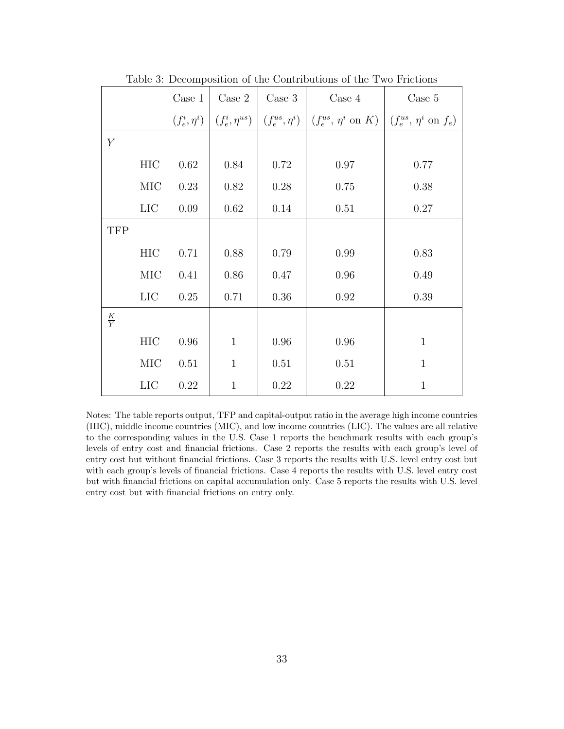|               |                   | Case 1   | Case 2               | $\rm Case~3$         | Case 4                             | Case 5                               |  |
|---------------|-------------------|----------|----------------------|----------------------|------------------------------------|--------------------------------------|--|
|               | $(f_e^i, \eta^i)$ |          | $(f_e^i, \eta^{us})$ | $(f_e^{us}, \eta^i)$ | $(f_e^{us}, \eta^i \text{ on } K)$ | $(f_e^{us}, \eta^i \text{ on } f_e)$ |  |
| Y             |                   |          |                      |                      |                                    |                                      |  |
|               | HIC               | $0.62\,$ | 0.84                 | 0.72                 | $0.97\,$                           | 0.77                                 |  |
|               | MIC               | 0.23     | 0.82                 | 0.28                 | 0.75                               | 0.38                                 |  |
|               | <b>LIC</b>        | 0.09     | 0.62                 | 0.14                 | 0.51                               | 0.27                                 |  |
| <b>TFP</b>    |                   |          |                      |                      |                                    |                                      |  |
|               | HIC               | 0.71     | 0.88                 | 0.79                 | 0.99                               | 0.83                                 |  |
|               | $\rm MIC$         | 0.41     | 0.86                 | 0.47                 | 0.96                               | 0.49                                 |  |
|               | LIC               | 0.25     | 0.71                 | 0.36                 | $\rm 0.92$                         | 0.39                                 |  |
| $\frac{K}{Y}$ |                   |          |                      |                      |                                    |                                      |  |
|               | HIC               | $0.96\,$ | $\mathbf{1}$         | 0.96                 | $0.96\,$                           | $\mathbf{1}$                         |  |
|               | MIC               | 0.51     | $\mathbf{1}$         | 0.51                 | 0.51                               | $\mathbf{1}$                         |  |
|               | LIC               | $0.22\,$ | $\mathbf{1}$         | 0.22                 | $0.22\,$                           | $\mathbf{1}$                         |  |

<span id="page-33-0"></span>Table 3: Decomposition of the Contributions of the Two Frictions

Notes: The table reports output, TFP and capital-output ratio in the average high income countries (HIC), middle income countries (MIC), and low income countries (LIC). The values are all relative to the corresponding values in the U.S. Case 1 reports the benchmark results with each group's levels of entry cost and financial frictions. Case 2 reports the results with each group's level of entry cost but without financial frictions. Case 3 reports the results with U.S. level entry cost but with each group's levels of financial frictions. Case 4 reports the results with U.S. level entry cost but with financial frictions on capital accumulation only. Case 5 reports the results with U.S. level entry cost but with financial frictions on entry only.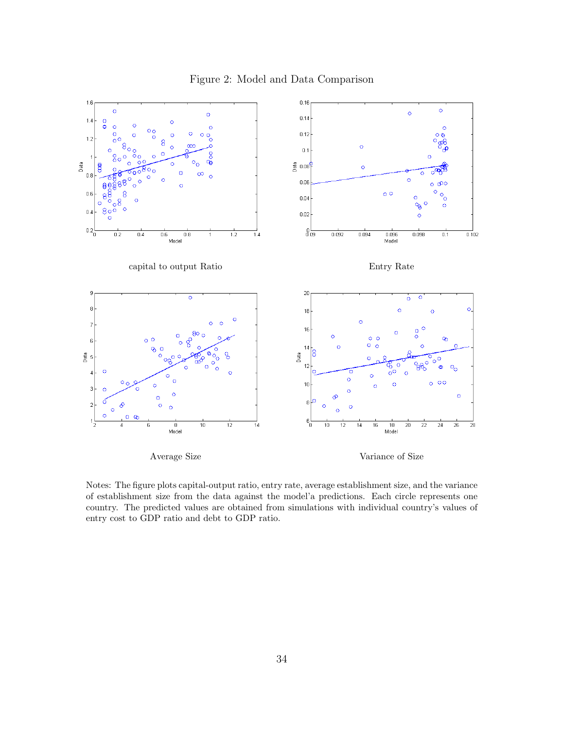### <span id="page-34-0"></span>Figure 2: Model and Data Comparison



Notes: The figure plots capital-output ratio, entry rate, average establishment size, and the variance of establishment size from the data against the model'a predictions. Each circle represents one country. The predicted values are obtained from simulations with individual country's values of entry cost to GDP ratio and debt to GDP ratio.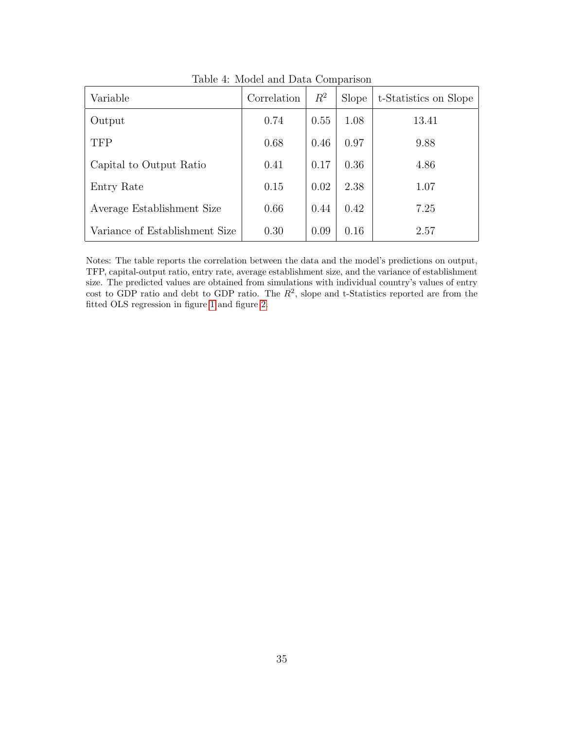| Variable                       | Correlation | $R^2$ | Slope | t-Statistics on Slope |
|--------------------------------|-------------|-------|-------|-----------------------|
| Output                         | 0.74        | 0.55  | 1.08  | 13.41                 |
| <b>TFP</b>                     | 0.68        | 0.46  | 0.97  | 9.88                  |
| Capital to Output Ratio        | 0.41        | 0.17  | 0.36  | 4.86                  |
| Entry Rate                     | 0.15        | 0.02  | 2.38  | 1.07                  |
| Average Establishment Size     | 0.66        | 0.44  | 0.42  | 7.25                  |
| Variance of Establishment Size | 0.30        | 0.09  | 0.16  | 2.57                  |

<span id="page-35-0"></span>Table 4: Model and Data Comparison

Notes: The table reports the correlation between the data and the model's predictions on output, TFP, capital-output ratio, entry rate, average establishment size, and the variance of establishment size. The predicted values are obtained from simulations with individual country's values of entry cost to GDP ratio and debt to GDP ratio. The  $R^2$ , slope and t-Statistics reported are from the fitted OLS regression in figure [1](#page-32-0) and figure [2.](#page-34-0)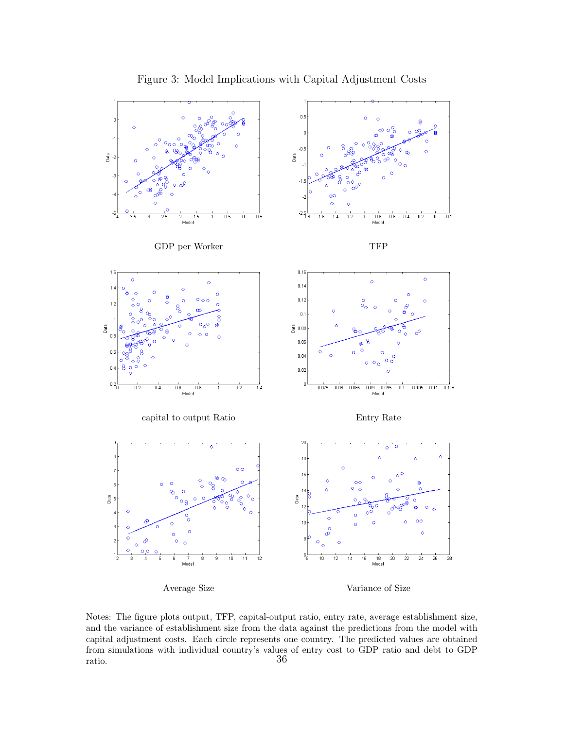

<span id="page-36-0"></span>Figure 3: Model Implications with Capital Adjustment Costs



Notes: The figure plots output, TFP, capital-output ratio, entry rate, average establishment size, and the variance of establishment size from the data against the predictions from the model with capital adjustment costs. Each circle represents one country. The predicted values are obtained from simulations with individual country's values of entry cost to GDP ratio and debt to GDP  $\frac{1}{36}$  and  $\frac{36}{36}$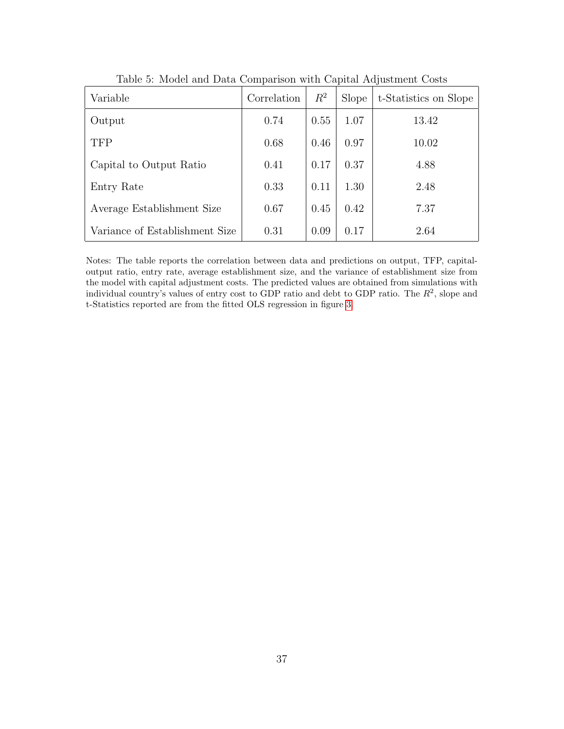| Variable                       | Correlation | $R^2$ | Slope | t-Statistics on Slope |
|--------------------------------|-------------|-------|-------|-----------------------|
| Output                         | 0.74        | 0.55  | 1.07  | 13.42                 |
| <b>TFP</b>                     | 0.68        | 0.46  | 0.97  | 10.02                 |
| Capital to Output Ratio        | 0.41        | 0.17  | 0.37  | 4.88                  |
| Entry Rate                     | 0.33        | 0.11  | 1.30  | 2.48                  |
| Average Establishment Size     | 0.67        | 0.45  | 0.42  | 7.37                  |
| Variance of Establishment Size | 0.31        | 0.09  | 0.17  | 2.64                  |

<span id="page-37-0"></span>Table 5: Model and Data Comparison with Capital Adjustment Costs

Notes: The table reports the correlation between data and predictions on output, TFP, capitaloutput ratio, entry rate, average establishment size, and the variance of establishment size from the model with capital adjustment costs. The predicted values are obtained from simulations with individual country's values of entry cost to GDP ratio and debt to GDP ratio. The  $R^2$ , slope and t-Statistics reported are from the fitted OLS regression in figure [3.](#page-36-0)